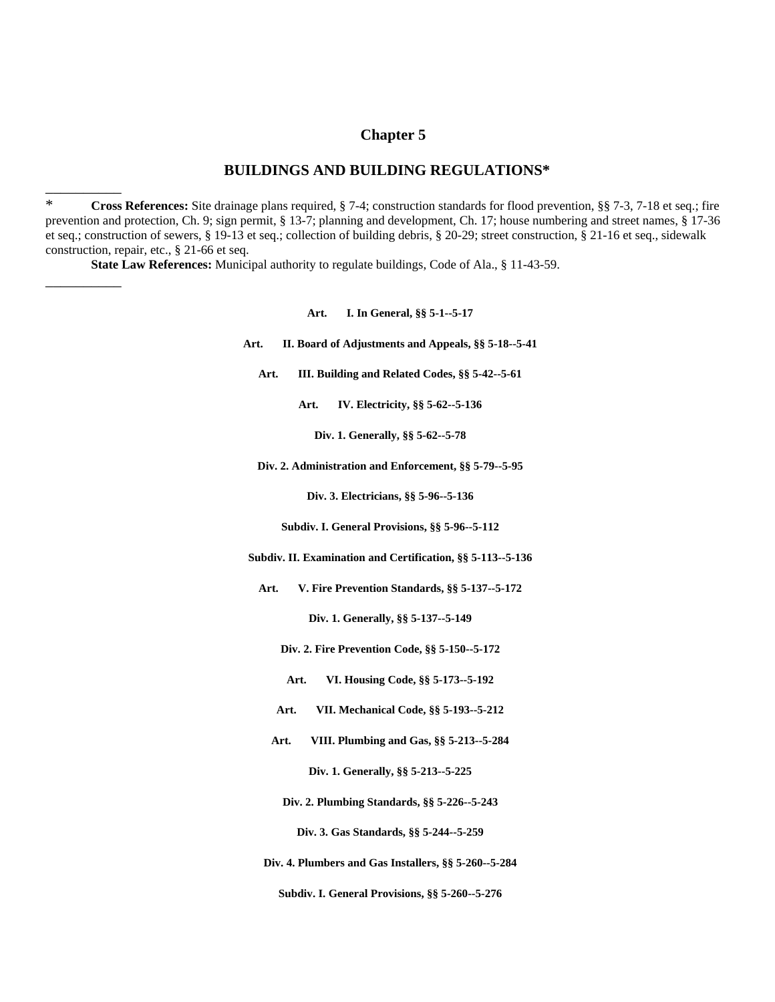### **Chapter 5**

### **BUILDINGS AND BUILDING REGULATIONS\***

\* **Cross References:** Site drainage plans required, § 7-4; construction standards for flood prevention, §§ 7-3, 7-18 et seq.; fire prevention and protection, Ch. 9; sign permit, § 13-7; planning and development, Ch. 17; house numbering and street names, § 17-36 et seq.; construction of sewers, § 19-13 et seq.; collection of building debris, § 20-29; street construction, § 21-16 et seq., sidewalk construction, repair, etc., § 21-66 et seq.

**State Law References:** Municipal authority to regulate buildings, Code of Ala., § 11-43-59.

\_\_\_\_\_\_\_\_\_\_

 $\overline{\phantom{a}}$ 

#### **Art. I. In General, §§ 5-1--5-17**

- **Art. II. Board of Adjustments and Appeals, §§ 5-18--5-41**
	- **Art. III. Building and Related Codes, §§ 5-42--5-61**

**Art. IV. Electricity, §§ 5-62--5-136**

**Div. 1. Generally, §§ 5-62--5-78**

**Div. 2. Administration and Enforcement, §§ 5-79--5-95**

**Div. 3. Electricians, §§ 5-96--5-136**

**Subdiv. I. General Provisions, §§ 5-96--5-112**

**Subdiv. II. Examination and Certification, §§ 5-113--5-136**

**Art. V. Fire Prevention Standards, §§ 5-137--5-172**

**Div. 1. Generally, §§ 5-137--5-149**

- **Div. 2. Fire Prevention Code, §§ 5-150--5-172**
- **Art. VI. Housing Code, §§ 5-173--5-192**
- **Art. VII. Mechanical Code, §§ 5-193--5-212**
- **Art. VIII. Plumbing and Gas, §§ 5-213--5-284**

**Div. 1. Generally, §§ 5-213--5-225**

**Div. 2. Plumbing Standards, §§ 5-226--5-243**

**Div. 3. Gas Standards, §§ 5-244--5-259**

**Div. 4. Plumbers and Gas Installers, §§ 5-260--5-284**

**Subdiv. I. General Provisions, §§ 5-260--5-276**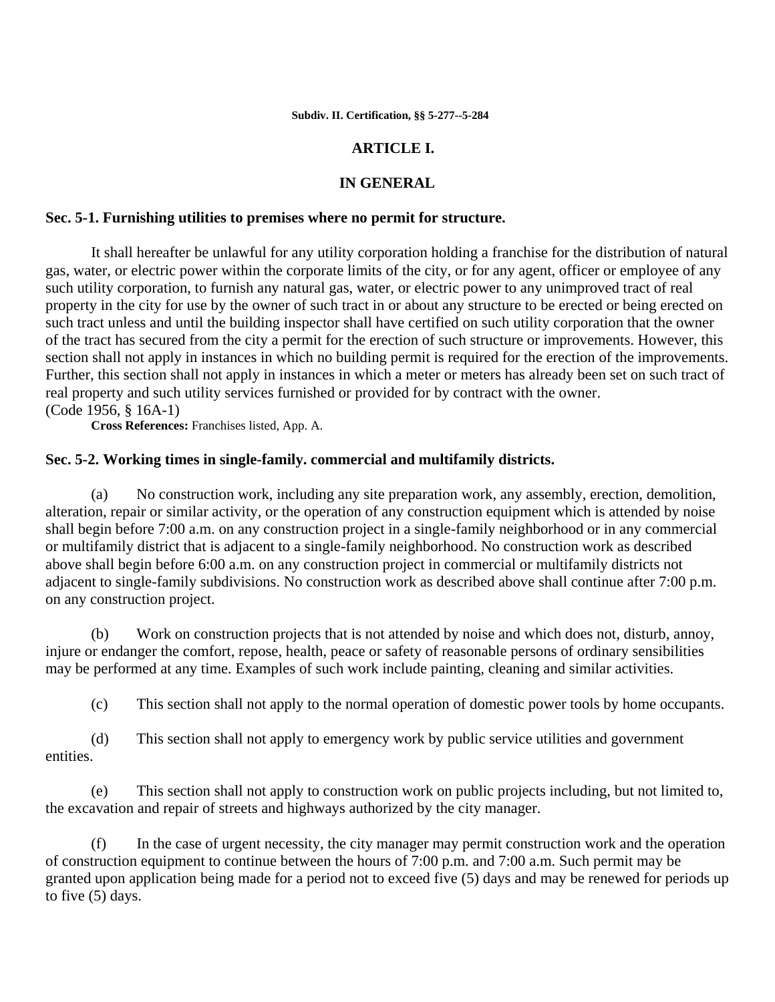## **ARTICLE I.**

## **IN GENERAL**

### **Sec. 5-1. Furnishing utilities to premises where no permit for structure.**

It shall hereafter be unlawful for any utility corporation holding a franchise for the distribution of natural gas, water, or electric power within the corporate limits of the city, or for any agent, officer or employee of any such utility corporation, to furnish any natural gas, water, or electric power to any unimproved tract of real property in the city for use by the owner of such tract in or about any structure to be erected or being erected on such tract unless and until the building inspector shall have certified on such utility corporation that the owner of the tract has secured from the city a permit for the erection of such structure or improvements. However, this section shall not apply in instances in which no building permit is required for the erection of the improvements. Further, this section shall not apply in instances in which a meter or meters has already been set on such tract of real property and such utility services furnished or provided for by contract with the owner. (Code 1956, § 16A-1)

**Cross References:** Franchises listed, App. A.

### **Sec. 5-2. Working times in single-family. commercial and multifamily districts.**

 (a) No construction work, including any site preparation work, any assembly, erection, demolition, alteration, repair or similar activity, or the operation of any construction equipment which is attended by noise shall begin before 7:00 a.m. on any construction project in a single-family neighborhood or in any commercial or multifamily district that is adjacent to a single-family neighborhood. No construction work as described above shall begin before 6:00 a.m. on any construction project in commercial or multifamily districts not adjacent to single-family subdivisions. No construction work as described above shall continue after 7:00 p.m. on any construction project.

 (b) Work on construction projects that is not attended by noise and which does not, disturb, annoy, injure or endanger the comfort, repose, health, peace or safety of reasonable persons of ordinary sensibilities may be performed at any time. Examples of such work include painting, cleaning and similar activities.

(c) This section shall not apply to the normal operation of domestic power tools by home occupants.

 (d) This section shall not apply to emergency work by public service utilities and government entities.

 (e) This section shall not apply to construction work on public projects including, but not limited to, the excavation and repair of streets and highways authorized by the city manager.

 (f) In the case of urgent necessity, the city manager may permit construction work and the operation of construction equipment to continue between the hours of 7:00 p.m. and 7:00 a.m. Such permit may be granted upon application being made for a period not to exceed five (5) days and may be renewed for periods up to five (5) days.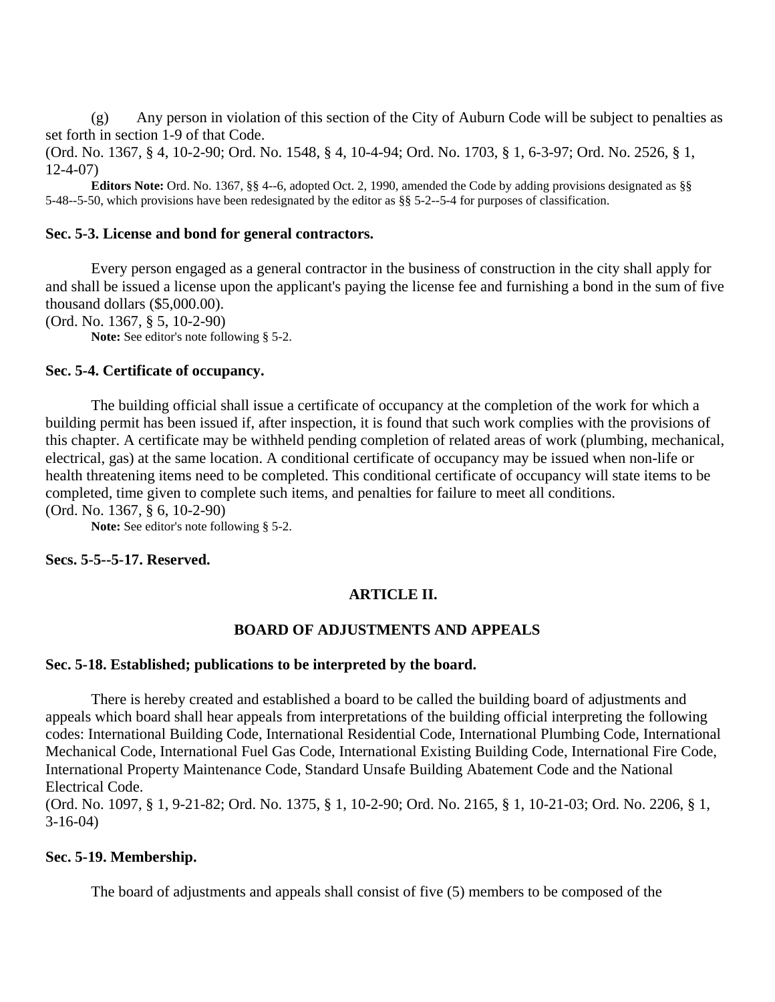(g) Any person in violation of this section of the City of Auburn Code will be subject to penalties as set forth in section 1-9 of that Code.

(Ord. No. 1367, § 4, 10-2-90; Ord. No. 1548, § 4, 10-4-94; Ord. No. 1703, § 1, 6-3-97; Ord. No. 2526, § 1, 12-4-07)

**Editors Note:** Ord. No. 1367, §§ 4--6, adopted Oct. 2, 1990, amended the Code by adding provisions designated as §§ 5-48--5-50, which provisions have been redesignated by the editor as §§ 5-2--5-4 for purposes of classification.

## **Sec. 5-3. License and bond for general contractors.**

Every person engaged as a general contractor in the business of construction in the city shall apply for and shall be issued a license upon the applicant's paying the license fee and furnishing a bond in the sum of five thousand dollars (\$5,000.00).

(Ord. No. 1367, § 5, 10-2-90)

**Note:** See editor's note following § 5-2.

### **Sec. 5-4. Certificate of occupancy.**

The building official shall issue a certificate of occupancy at the completion of the work for which a building permit has been issued if, after inspection, it is found that such work complies with the provisions of this chapter. A certificate may be withheld pending completion of related areas of work (plumbing, mechanical, electrical, gas) at the same location. A conditional certificate of occupancy may be issued when non-life or health threatening items need to be completed. This conditional certificate of occupancy will state items to be completed, time given to complete such items, and penalties for failure to meet all conditions. (Ord. No. 1367, § 6, 10-2-90)

**Note:** See editor's note following § 5-2.

**Secs. 5-5--5-17. Reserved.**

## **ARTICLE II.**

### **BOARD OF ADJUSTMENTS AND APPEALS**

#### **Sec. 5-18. Established; publications to be interpreted by the board.**

There is hereby created and established a board to be called the building board of adjustments and appeals which board shall hear appeals from interpretations of the building official interpreting the following codes: International Building Code, International Residential Code, International Plumbing Code, International Mechanical Code, International Fuel Gas Code, International Existing Building Code, International Fire Code, International Property Maintenance Code, Standard Unsafe Building Abatement Code and the National Electrical Code.

(Ord. No. 1097, § 1, 9-21-82; Ord. No. 1375, § 1, 10-2-90; Ord. No. 2165, § 1, 10-21-03; Ord. No. 2206, § 1, 3-16-04)

### **Sec. 5-19. Membership.**

The board of adjustments and appeals shall consist of five (5) members to be composed of the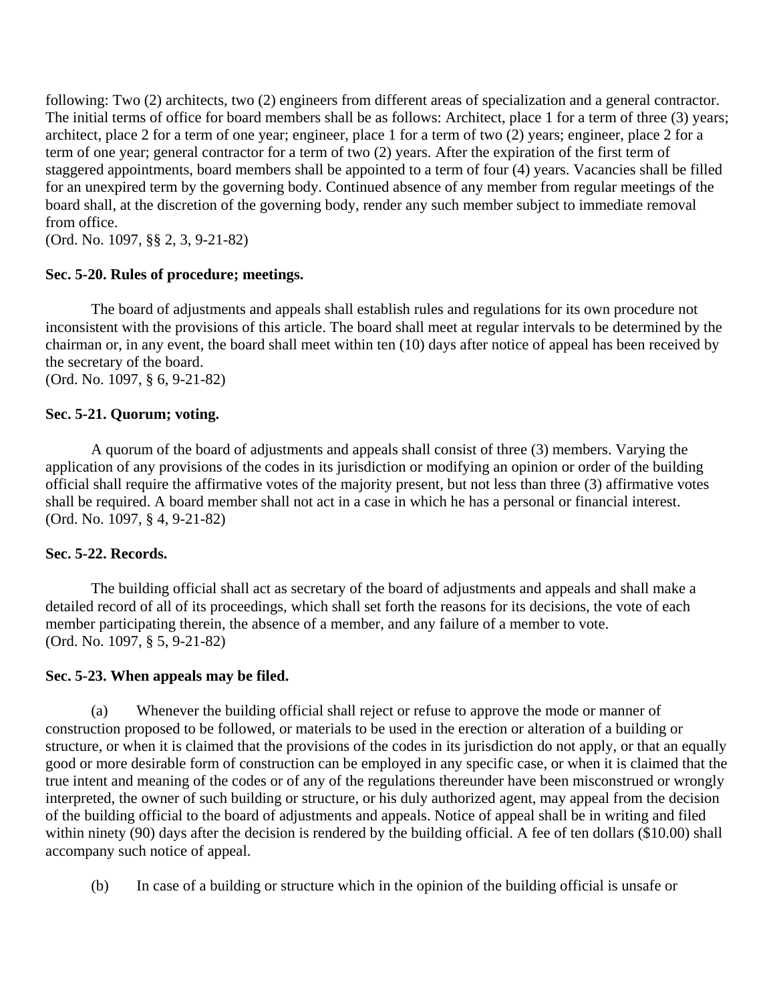following: Two (2) architects, two (2) engineers from different areas of specialization and a general contractor. The initial terms of office for board members shall be as follows: Architect, place 1 for a term of three (3) years; architect, place 2 for a term of one year; engineer, place 1 for a term of two (2) years; engineer, place 2 for a term of one year; general contractor for a term of two (2) years. After the expiration of the first term of staggered appointments, board members shall be appointed to a term of four (4) years. Vacancies shall be filled for an unexpired term by the governing body. Continued absence of any member from regular meetings of the board shall, at the discretion of the governing body, render any such member subject to immediate removal from office.

(Ord. No. 1097, §§ 2, 3, 9-21-82)

## **Sec. 5-20. Rules of procedure; meetings.**

The board of adjustments and appeals shall establish rules and regulations for its own procedure not inconsistent with the provisions of this article. The board shall meet at regular intervals to be determined by the chairman or, in any event, the board shall meet within ten (10) days after notice of appeal has been received by the secretary of the board. (Ord. No. 1097, § 6, 9-21-82)

## **Sec. 5-21. Quorum; voting.**

A quorum of the board of adjustments and appeals shall consist of three (3) members. Varying the application of any provisions of the codes in its jurisdiction or modifying an opinion or order of the building official shall require the affirmative votes of the majority present, but not less than three (3) affirmative votes shall be required. A board member shall not act in a case in which he has a personal or financial interest. (Ord. No. 1097, § 4, 9-21-82)

### **Sec. 5-22. Records.**

The building official shall act as secretary of the board of adjustments and appeals and shall make a detailed record of all of its proceedings, which shall set forth the reasons for its decisions, the vote of each member participating therein, the absence of a member, and any failure of a member to vote. (Ord. No. 1097, § 5, 9-21-82)

### **Sec. 5-23. When appeals may be filed.**

 (a) Whenever the building official shall reject or refuse to approve the mode or manner of construction proposed to be followed, or materials to be used in the erection or alteration of a building or structure, or when it is claimed that the provisions of the codes in its jurisdiction do not apply, or that an equally good or more desirable form of construction can be employed in any specific case, or when it is claimed that the true intent and meaning of the codes or of any of the regulations thereunder have been misconstrued or wrongly interpreted, the owner of such building or structure, or his duly authorized agent, may appeal from the decision of the building official to the board of adjustments and appeals. Notice of appeal shall be in writing and filed within ninety (90) days after the decision is rendered by the building official. A fee of ten dollars (\$10.00) shall accompany such notice of appeal.

(b) In case of a building or structure which in the opinion of the building official is unsafe or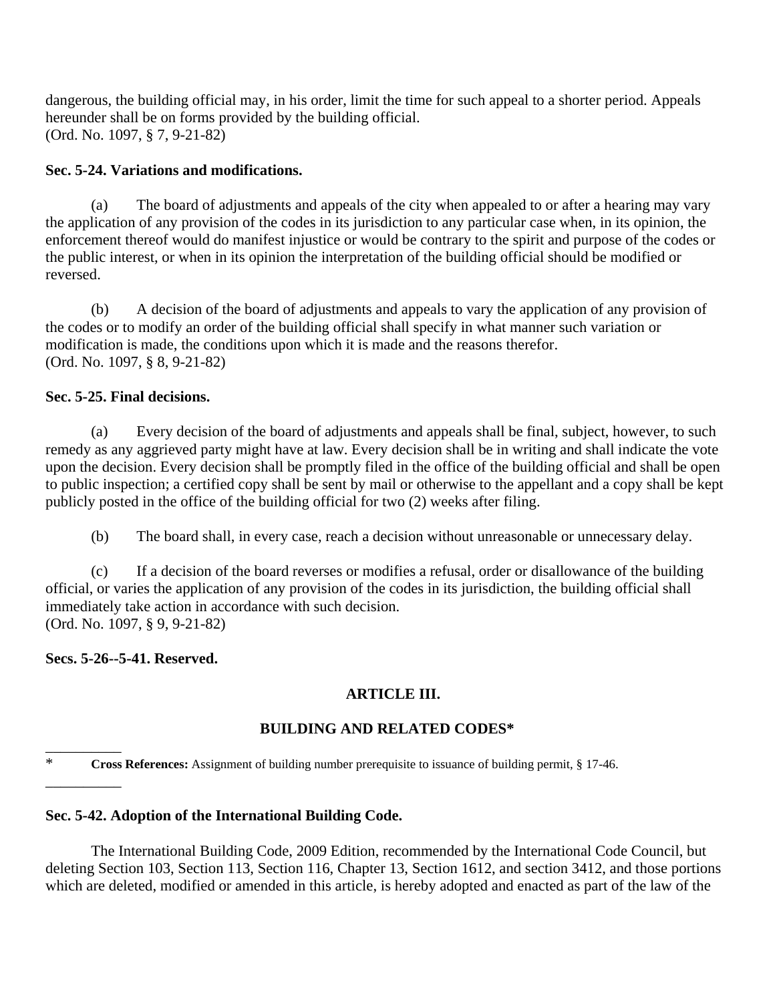dangerous, the building official may, in his order, limit the time for such appeal to a shorter period. Appeals hereunder shall be on forms provided by the building official. (Ord. No. 1097, § 7, 9-21-82)

# **Sec. 5-24. Variations and modifications.**

 (a) The board of adjustments and appeals of the city when appealed to or after a hearing may vary the application of any provision of the codes in its jurisdiction to any particular case when, in its opinion, the enforcement thereof would do manifest injustice or would be contrary to the spirit and purpose of the codes or the public interest, or when in its opinion the interpretation of the building official should be modified or reversed.

 (b) A decision of the board of adjustments and appeals to vary the application of any provision of the codes or to modify an order of the building official shall specify in what manner such variation or modification is made, the conditions upon which it is made and the reasons therefor. (Ord. No. 1097, § 8, 9-21-82)

## **Sec. 5-25. Final decisions.**

 (a) Every decision of the board of adjustments and appeals shall be final, subject, however, to such remedy as any aggrieved party might have at law. Every decision shall be in writing and shall indicate the vote upon the decision. Every decision shall be promptly filed in the office of the building official and shall be open to public inspection; a certified copy shall be sent by mail or otherwise to the appellant and a copy shall be kept publicly posted in the office of the building official for two (2) weeks after filing.

(b) The board shall, in every case, reach a decision without unreasonable or unnecessary delay.

 (c) If a decision of the board reverses or modifies a refusal, order or disallowance of the building official, or varies the application of any provision of the codes in its jurisdiction, the building official shall immediately take action in accordance with such decision. (Ord. No. 1097, § 9, 9-21-82)

## **Secs. 5-26--5-41. Reserved.**

\_\_\_\_\_\_\_\_\_\_

\_\_\_\_\_\_\_\_\_\_

# **ARTICLE III.**

# **BUILDING AND RELATED CODES\***

\* **Cross References:** Assignment of building number prerequisite to issuance of building permit, § 17-46.

## **Sec. 5-42. Adoption of the International Building Code.**

The International Building Code, 2009 Edition, recommended by the International Code Council, but deleting Section 103, Section 113, Section 116, Chapter 13, Section 1612, and section 3412, and those portions which are deleted, modified or amended in this article, is hereby adopted and enacted as part of the law of the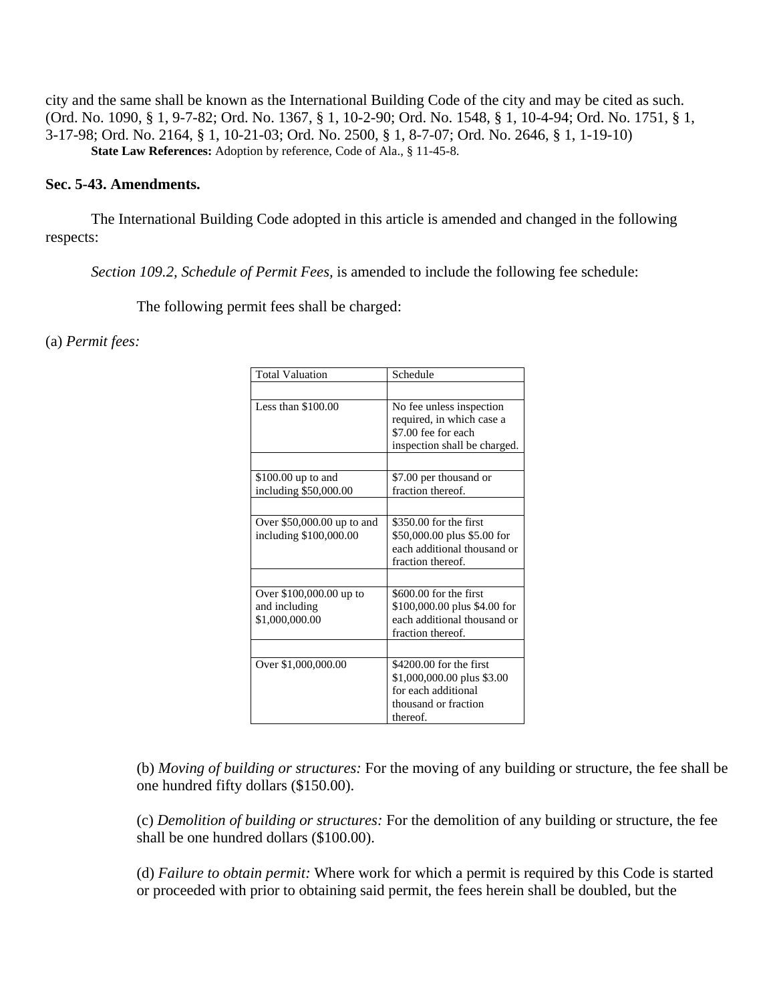city and the same shall be known as the International Building Code of the city and may be cited as such. (Ord. No. 1090, § 1, 9-7-82; Ord. No. 1367, § 1, 10-2-90; Ord. No. 1548, § 1, 10-4-94; Ord. No. 1751, § 1, 3-17-98; Ord. No. 2164, § 1, 10-21-03; Ord. No. 2500, § 1, 8-7-07; Ord. No. 2646, § 1, 1-19-10) **State Law References:** Adoption by reference, Code of Ala., § 11-45-8.

## **Sec. 5-43. Amendments.**

The International Building Code adopted in this article is amended and changed in the following respects:

*Section 109.2, Schedule of Permit Fees,* is amended to include the following fee schedule:

The following permit fees shall be charged:

### (a) *Permit fees:*

| <b>Total Valuation</b>                                     | Schedule                                                                                                         |
|------------------------------------------------------------|------------------------------------------------------------------------------------------------------------------|
|                                                            |                                                                                                                  |
| Less than $$100.00$                                        | No fee unless inspection<br>required, in which case a<br>\$7.00 fee for each<br>inspection shall be charged.     |
| \$100.00 up to and<br>including \$50,000.00                | \$7.00 per thousand or<br>fraction thereof.                                                                      |
|                                                            |                                                                                                                  |
| Over $$50,000.00$ up to and<br>including \$100,000.00      | $$350.00$ for the first<br>\$50,000.00 plus \$5.00 for<br>each additional thousand or<br>fraction thereof.       |
|                                                            |                                                                                                                  |
| Over \$100,000.00 up to<br>and including<br>\$1,000,000.00 | $$600.00$ for the first<br>\$100,000.00 plus \$4.00 for<br>each additional thousand or<br>fraction thereof.      |
|                                                            |                                                                                                                  |
| Over \$1,000,000.00                                        | \$4200.00 for the first<br>\$1,000,000.00 plus \$3.00<br>for each additional<br>thousand or fraction<br>thereof. |

(b) *Moving of building or structures:* For the moving of any building or structure, the fee shall be one hundred fifty dollars (\$150.00).

(c) *Demolition of building or structures:* For the demolition of any building or structure, the fee shall be one hundred dollars (\$100.00).

(d) *Failure to obtain permit:* Where work for which a permit is required by this Code is started or proceeded with prior to obtaining said permit, the fees herein shall be doubled, but the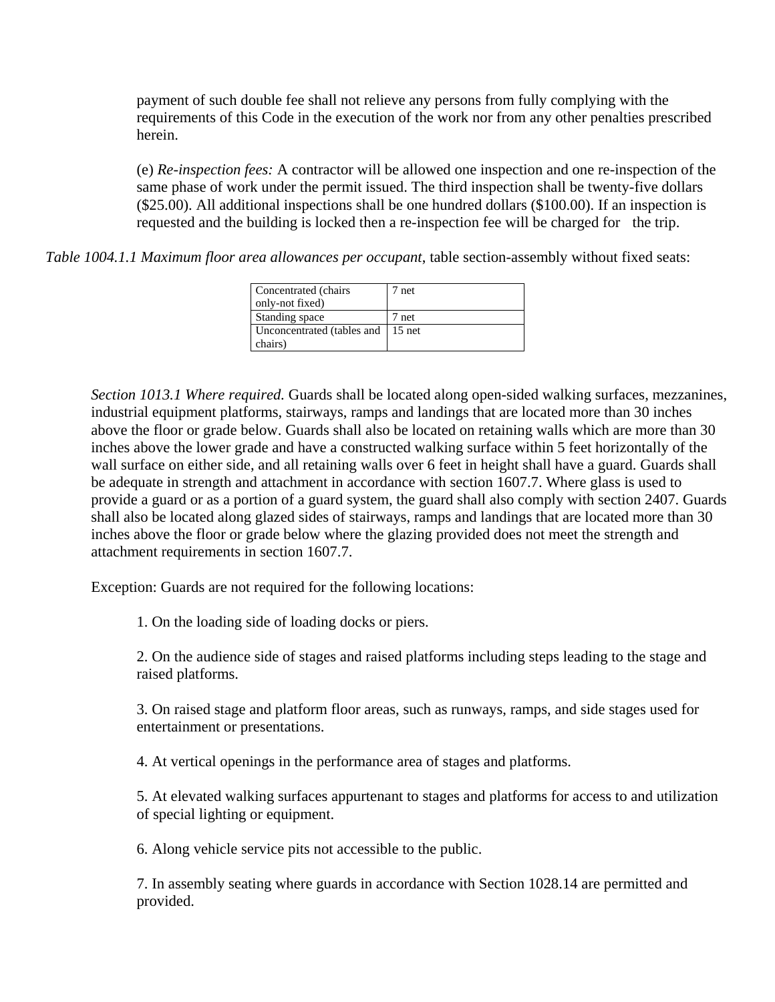payment of such double fee shall not relieve any persons from fully complying with the requirements of this Code in the execution of the work nor from any other penalties prescribed herein.

(e) *Re-inspection fees:* A contractor will be allowed one inspection and one re-inspection of the same phase of work under the permit issued. The third inspection shall be twenty-five dollars (\$25.00). All additional inspections shall be one hundred dollars (\$100.00). If an inspection is requested and the building is locked then a re-inspection fee will be charged for the trip.

*Table 1004.1.1 Maximum floor area allowances per occupant*, table section-assembly without fixed seats:

| Concentrated (chairs<br>only-not fixed) | 7 net |
|-----------------------------------------|-------|
| Standing space                          | 7 net |
| Unconcentrated (tables and 15 net)      |       |
| chairs)                                 |       |

*Section 1013.1 Where required.* Guards shall be located along open-sided walking surfaces, mezzanines, industrial equipment platforms, stairways, ramps and landings that are located more than 30 inches above the floor or grade below. Guards shall also be located on retaining walls which are more than 30 inches above the lower grade and have a constructed walking surface within 5 feet horizontally of the wall surface on either side, and all retaining walls over 6 feet in height shall have a guard. Guards shall be adequate in strength and attachment in accordance with section 1607.7. Where glass is used to provide a guard or as a portion of a guard system, the guard shall also comply with section 2407. Guards shall also be located along glazed sides of stairways, ramps and landings that are located more than 30 inches above the floor or grade below where the glazing provided does not meet the strength and attachment requirements in section 1607.7.

Exception: Guards are not required for the following locations:

1. On the loading side of loading docks or piers.

2. On the audience side of stages and raised platforms including steps leading to the stage and raised platforms.

3. On raised stage and platform floor areas, such as runways, ramps, and side stages used for entertainment or presentations.

4. At vertical openings in the performance area of stages and platforms.

5. At elevated walking surfaces appurtenant to stages and platforms for access to and utilization of special lighting or equipment.

6. Along vehicle service pits not accessible to the public.

7. In assembly seating where guards in accordance with Section 1028.14 are permitted and provided.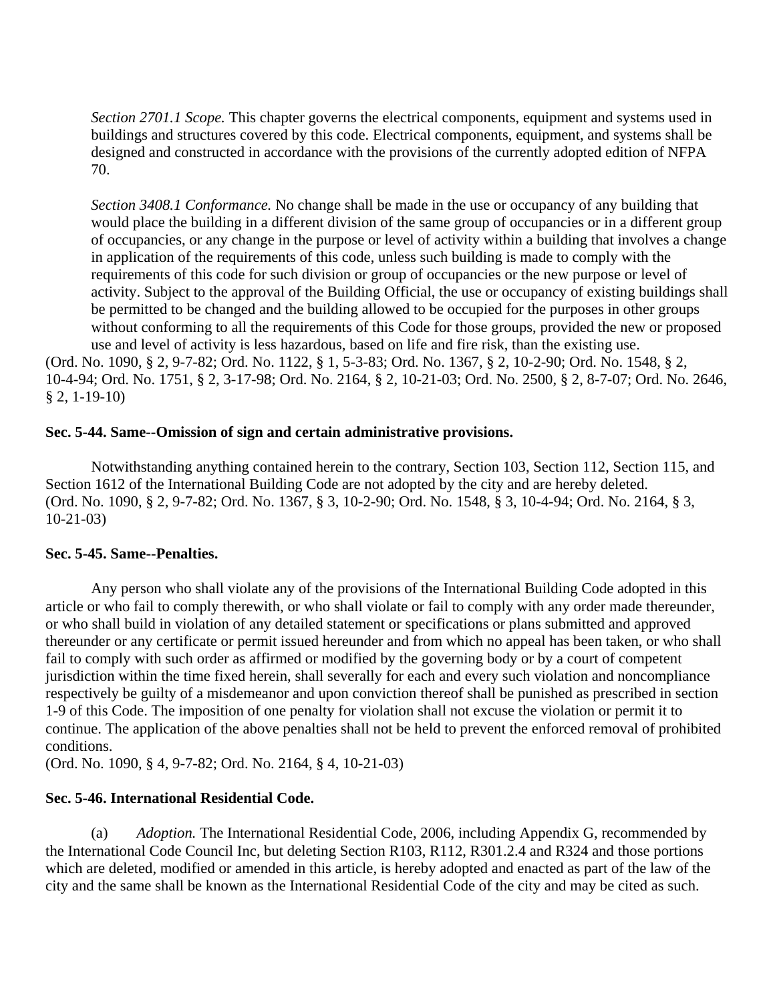*Section 2701.1 Scope.* This chapter governs the electrical components, equipment and systems used in buildings and structures covered by this code. Electrical components, equipment, and systems shall be designed and constructed in accordance with the provisions of the currently adopted edition of NFPA 70.

*Section 3408.1 Conformance.* No change shall be made in the use or occupancy of any building that would place the building in a different division of the same group of occupancies or in a different group of occupancies, or any change in the purpose or level of activity within a building that involves a change in application of the requirements of this code, unless such building is made to comply with the requirements of this code for such division or group of occupancies or the new purpose or level of activity. Subject to the approval of the Building Official, the use or occupancy of existing buildings shall be permitted to be changed and the building allowed to be occupied for the purposes in other groups without conforming to all the requirements of this Code for those groups, provided the new or proposed use and level of activity is less hazardous, based on life and fire risk, than the existing use.

(Ord. No. 1090, § 2, 9-7-82; Ord. No. 1122, § 1, 5-3-83; Ord. No. 1367, § 2, 10-2-90; Ord. No. 1548, § 2, 10-4-94; Ord. No. 1751, § 2, 3-17-98; Ord. No. 2164, § 2, 10-21-03; Ord. No. 2500, § 2, 8-7-07; Ord. No. 2646, § 2, 1-19-10)

## **Sec. 5-44. Same--Omission of sign and certain administrative provisions.**

Notwithstanding anything contained herein to the contrary, Section 103, Section 112, Section 115, and Section 1612 of the International Building Code are not adopted by the city and are hereby deleted. (Ord. No. 1090, § 2, 9-7-82; Ord. No. 1367, § 3, 10-2-90; Ord. No. 1548, § 3, 10-4-94; Ord. No. 2164, § 3, 10-21-03)

### **Sec. 5-45. Same--Penalties.**

Any person who shall violate any of the provisions of the International Building Code adopted in this article or who fail to comply therewith, or who shall violate or fail to comply with any order made thereunder, or who shall build in violation of any detailed statement or specifications or plans submitted and approved thereunder or any certificate or permit issued hereunder and from which no appeal has been taken, or who shall fail to comply with such order as affirmed or modified by the governing body or by a court of competent jurisdiction within the time fixed herein, shall severally for each and every such violation and noncompliance respectively be guilty of a misdemeanor and upon conviction thereof shall be punished as prescribed in section 1-9 of this Code. The imposition of one penalty for violation shall not excuse the violation or permit it to continue. The application of the above penalties shall not be held to prevent the enforced removal of prohibited conditions.

(Ord. No. 1090, § 4, 9-7-82; Ord. No. 2164, § 4, 10-21-03)

## **Sec. 5-46. International Residential Code.**

 (a) *Adoption.* The International Residential Code, 2006, including Appendix G, recommended by the International Code Council Inc, but deleting Section R103, R112, R301.2.4 and R324 and those portions which are deleted, modified or amended in this article, is hereby adopted and enacted as part of the law of the city and the same shall be known as the International Residential Code of the city and may be cited as such.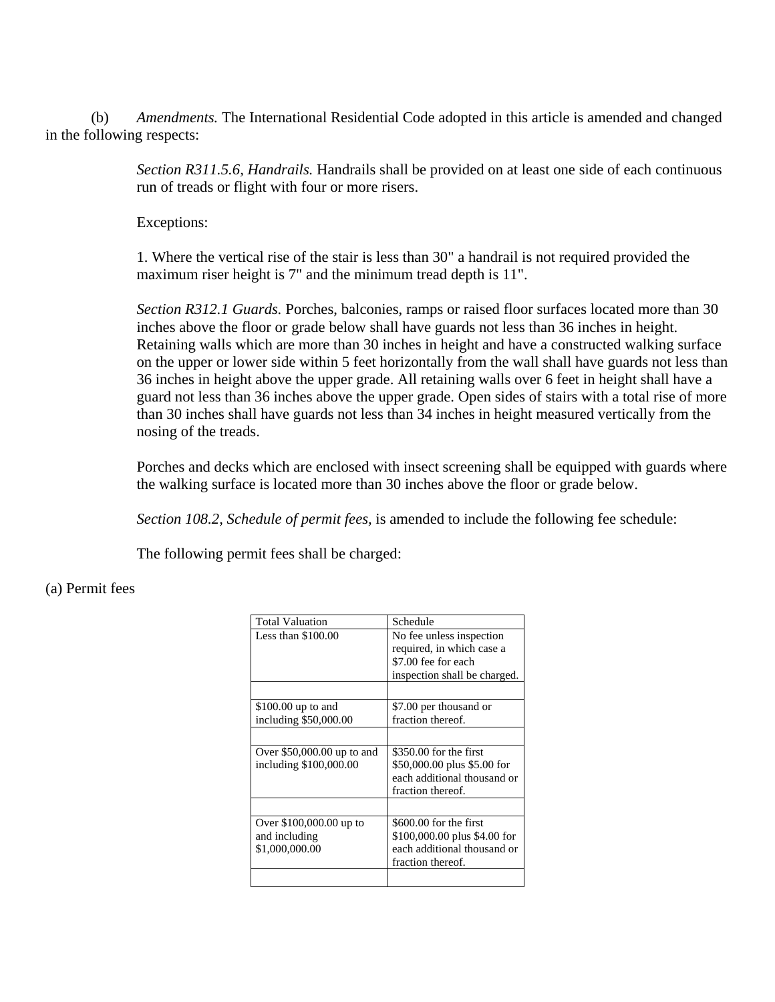(b) *Amendments.* The International Residential Code adopted in this article is amended and changed in the following respects:

> *Section R311.5.6, Handrails.* Handrails shall be provided on at least one side of each continuous run of treads or flight with four or more risers.

Exceptions:

1. Where the vertical rise of the stair is less than 30" a handrail is not required provided the maximum riser height is 7" and the minimum tread depth is 11".

*Section R312.1 Guards.* Porches, balconies, ramps or raised floor surfaces located more than 30 inches above the floor or grade below shall have guards not less than 36 inches in height. Retaining walls which are more than 30 inches in height and have a constructed walking surface on the upper or lower side within 5 feet horizontally from the wall shall have guards not less than 36 inches in height above the upper grade. All retaining walls over 6 feet in height shall have a guard not less than 36 inches above the upper grade. Open sides of stairs with a total rise of more than 30 inches shall have guards not less than 34 inches in height measured vertically from the nosing of the treads.

Porches and decks which are enclosed with insect screening shall be equipped with guards where the walking surface is located more than 30 inches above the floor or grade below.

*Section 108.2, Schedule of permit fees,* is amended to include the following fee schedule:

The following permit fees shall be charged:

## (a) Permit fees

| <b>Total Valuation</b>      | Schedule                     |
|-----------------------------|------------------------------|
| Less than $$100.00$         | No fee unless inspection     |
|                             | required, in which case a    |
|                             | \$7.00 fee for each          |
|                             | inspection shall be charged. |
|                             |                              |
| \$100.00 up to and          | \$7.00 per thousand or       |
| including \$50,000.00       | fraction thereof.            |
|                             |                              |
| Over $$50,000.00$ up to and | $$350.00$ for the first      |
| including \$100,000.00      | \$50,000.00 plus \$5.00 for  |
|                             | each additional thousand or  |
|                             | fraction thereof.            |
|                             |                              |
| Over \$100,000.00 up to     | $$600.00$ for the first      |
| and including               | \$100,000.00 plus \$4.00 for |
| \$1,000,000.00              | each additional thousand or  |
|                             | fraction thereof.            |
|                             |                              |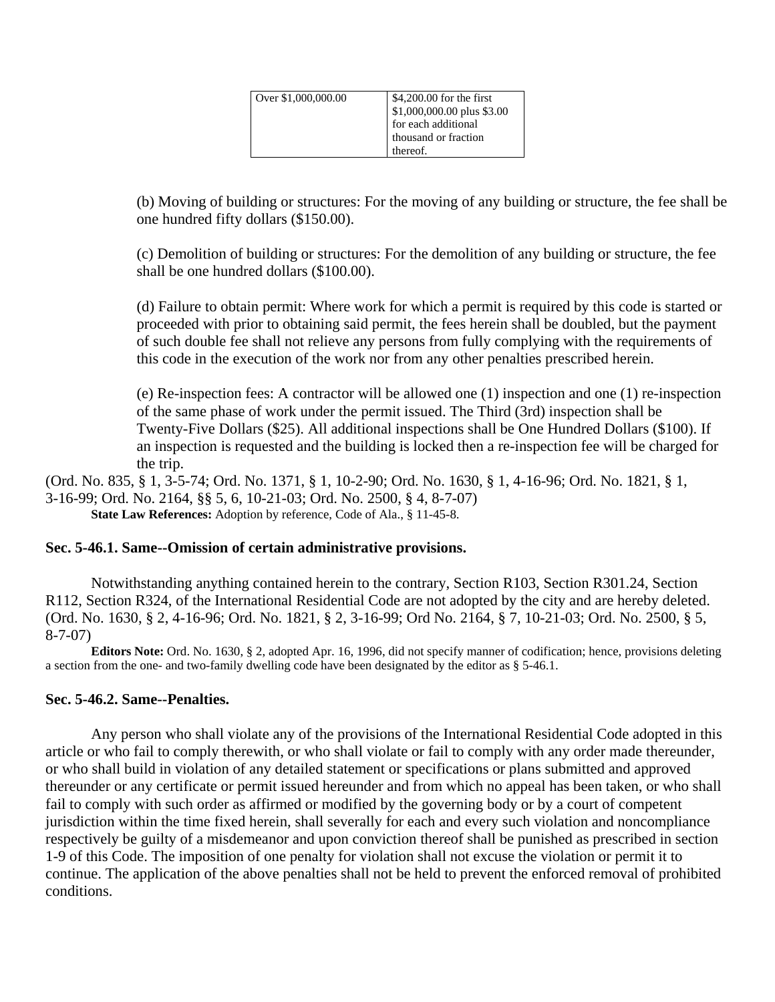| Over \$1,000,000.00 | \$4,200.00 for the first   |
|---------------------|----------------------------|
|                     | \$1,000,000.00 plus \$3.00 |
|                     | for each additional        |
|                     | thousand or fraction       |
|                     | thereof.                   |

(b) Moving of building or structures: For the moving of any building or structure, the fee shall be one hundred fifty dollars (\$150.00).

(c) Demolition of building or structures: For the demolition of any building or structure, the fee shall be one hundred dollars (\$100.00).

(d) Failure to obtain permit: Where work for which a permit is required by this code is started or proceeded with prior to obtaining said permit, the fees herein shall be doubled, but the payment of such double fee shall not relieve any persons from fully complying with the requirements of this code in the execution of the work nor from any other penalties prescribed herein.

(e) Re-inspection fees: A contractor will be allowed one (1) inspection and one (1) re-inspection of the same phase of work under the permit issued. The Third (3rd) inspection shall be Twenty-Five Dollars (\$25). All additional inspections shall be One Hundred Dollars (\$100). If an inspection is requested and the building is locked then a re-inspection fee will be charged for the trip.

(Ord. No. 835, § 1, 3-5-74; Ord. No. 1371, § 1, 10-2-90; Ord. No. 1630, § 1, 4-16-96; Ord. No. 1821, § 1, 3-16-99; Ord. No. 2164, §§ 5, 6, 10-21-03; Ord. No. 2500, § 4, 8-7-07) **State Law References:** Adoption by reference, Code of Ala., § 11-45-8.

### **Sec. 5-46.1. Same--Omission of certain administrative provisions.**

Notwithstanding anything contained herein to the contrary, Section R103, Section R301.24, Section R112, Section R324, of the International Residential Code are not adopted by the city and are hereby deleted. (Ord. No. 1630, § 2, 4-16-96; Ord. No. 1821, § 2, 3-16-99; Ord No. 2164, § 7, 10-21-03; Ord. No. 2500, § 5, 8-7-07)

**Editors Note:** Ord. No. 1630, § 2, adopted Apr. 16, 1996, did not specify manner of codification; hence, provisions deleting a section from the one- and two-family dwelling code have been designated by the editor as § 5-46.1.

### **Sec. 5-46.2. Same--Penalties.**

Any person who shall violate any of the provisions of the International Residential Code adopted in this article or who fail to comply therewith, or who shall violate or fail to comply with any order made thereunder, or who shall build in violation of any detailed statement or specifications or plans submitted and approved thereunder or any certificate or permit issued hereunder and from which no appeal has been taken, or who shall fail to comply with such order as affirmed or modified by the governing body or by a court of competent jurisdiction within the time fixed herein, shall severally for each and every such violation and noncompliance respectively be guilty of a misdemeanor and upon conviction thereof shall be punished as prescribed in section 1-9 of this Code. The imposition of one penalty for violation shall not excuse the violation or permit it to continue. The application of the above penalties shall not be held to prevent the enforced removal of prohibited conditions.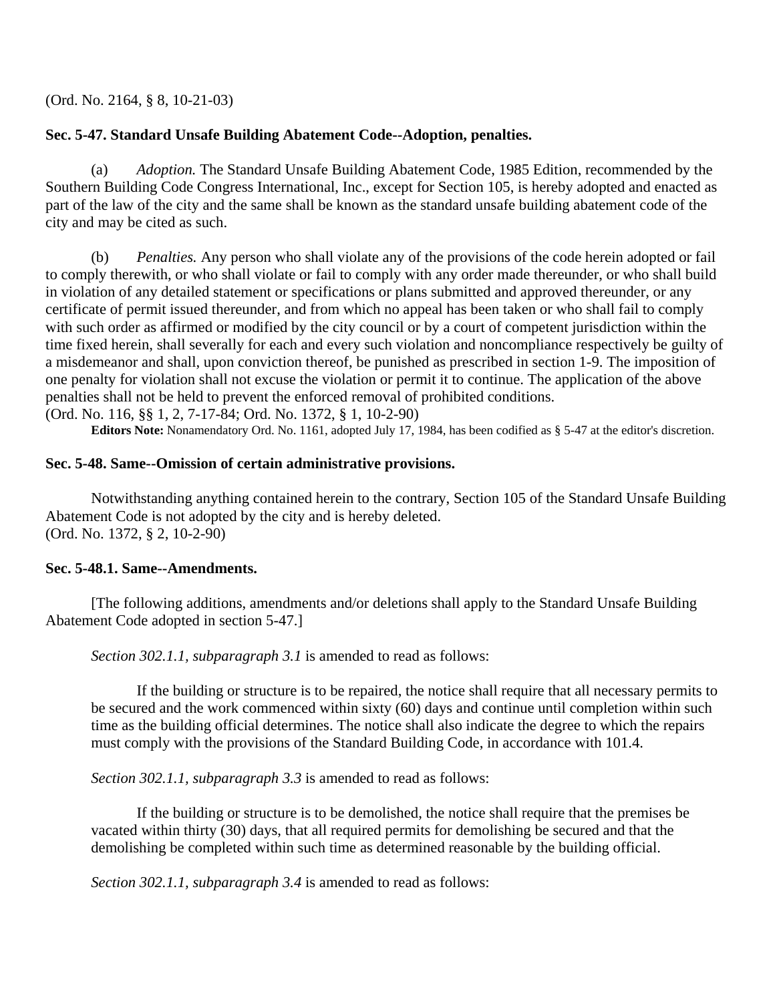(Ord. No. 2164, § 8, 10-21-03)

# **Sec. 5-47. Standard Unsafe Building Abatement Code--Adoption, penalties.**

 (a) *Adoption.* The Standard Unsafe Building Abatement Code, 1985 Edition, recommended by the Southern Building Code Congress International, Inc., except for Section 105, is hereby adopted and enacted as part of the law of the city and the same shall be known as the standard unsafe building abatement code of the city and may be cited as such.

 (b) *Penalties.* Any person who shall violate any of the provisions of the code herein adopted or fail to comply therewith, or who shall violate or fail to comply with any order made thereunder, or who shall build in violation of any detailed statement or specifications or plans submitted and approved thereunder, or any certificate of permit issued thereunder, and from which no appeal has been taken or who shall fail to comply with such order as affirmed or modified by the city council or by a court of competent jurisdiction within the time fixed herein, shall severally for each and every such violation and noncompliance respectively be guilty of a misdemeanor and shall, upon conviction thereof, be punished as prescribed in section 1-9. The imposition of one penalty for violation shall not excuse the violation or permit it to continue. The application of the above penalties shall not be held to prevent the enforced removal of prohibited conditions. (Ord. No. 116, §§ 1, 2, 7-17-84; Ord. No. 1372, § 1, 10-2-90)

**Editors Note:** Nonamendatory Ord. No. 1161, adopted July 17, 1984, has been codified as § 5-47 at the editor's discretion.

## **Sec. 5-48. Same--Omission of certain administrative provisions.**

Notwithstanding anything contained herein to the contrary, Section 105 of the Standard Unsafe Building Abatement Code is not adopted by the city and is hereby deleted. (Ord. No. 1372, § 2, 10-2-90)

## **Sec. 5-48.1. Same--Amendments.**

[The following additions, amendments and/or deletions shall apply to the Standard Unsafe Building Abatement Code adopted in section 5-47.]

*Section 302.1.1, subparagraph 3.1* is amended to read as follows:

If the building or structure is to be repaired, the notice shall require that all necessary permits to be secured and the work commenced within sixty (60) days and continue until completion within such time as the building official determines. The notice shall also indicate the degree to which the repairs must comply with the provisions of the Standard Building Code, in accordance with 101.4.

*Section 302.1.1, subparagraph 3.3* is amended to read as follows:

If the building or structure is to be demolished, the notice shall require that the premises be vacated within thirty (30) days, that all required permits for demolishing be secured and that the demolishing be completed within such time as determined reasonable by the building official.

*Section 302.1.1, subparagraph 3.4* is amended to read as follows: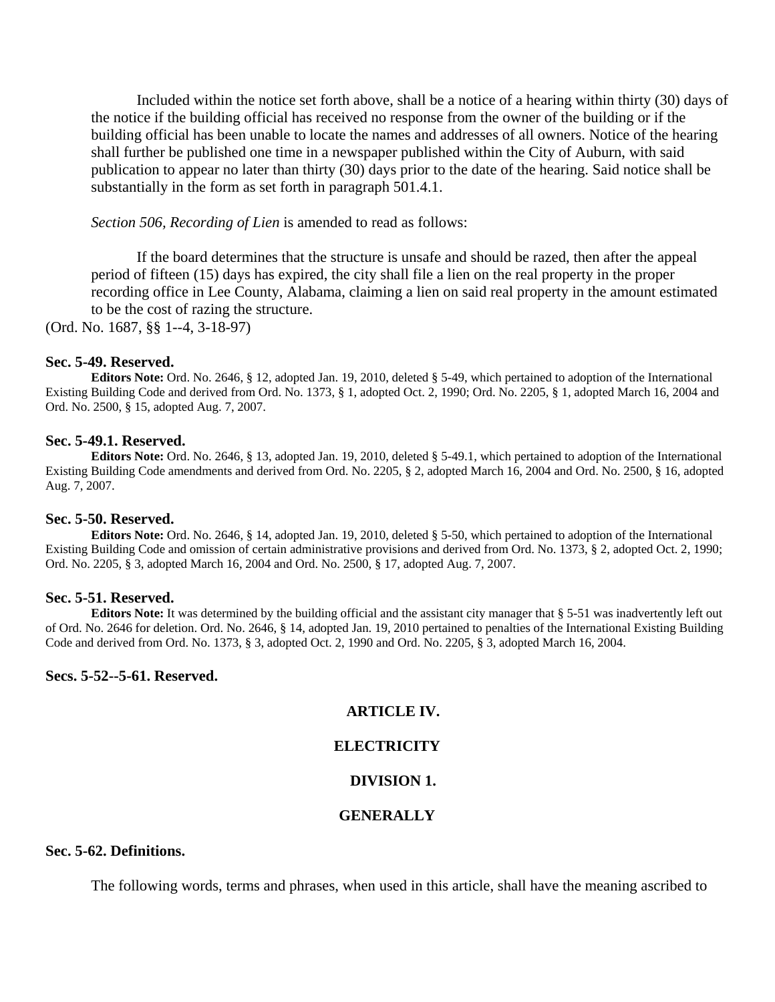Included within the notice set forth above, shall be a notice of a hearing within thirty (30) days of the notice if the building official has received no response from the owner of the building or if the building official has been unable to locate the names and addresses of all owners. Notice of the hearing shall further be published one time in a newspaper published within the City of Auburn, with said publication to appear no later than thirty (30) days prior to the date of the hearing. Said notice shall be substantially in the form as set forth in paragraph 501.4.1.

*Section 506, Recording of Lien* is amended to read as follows:

If the board determines that the structure is unsafe and should be razed, then after the appeal period of fifteen (15) days has expired, the city shall file a lien on the real property in the proper recording office in Lee County, Alabama, claiming a lien on said real property in the amount estimated to be the cost of razing the structure.

(Ord. No. 1687, §§ 1--4, 3-18-97)

#### **Sec. 5-49. Reserved.**

**Editors Note:** Ord. No. 2646, § 12, adopted Jan. 19, 2010, deleted § 5-49, which pertained to adoption of the International Existing Building Code and derived from Ord. No. 1373, § 1, adopted Oct. 2, 1990; Ord. No. 2205, § 1, adopted March 16, 2004 and Ord. No. 2500, § 15, adopted Aug. 7, 2007.

#### **Sec. 5-49.1. Reserved.**

**Editors Note:** Ord. No. 2646, § 13, adopted Jan. 19, 2010, deleted § 5-49.1, which pertained to adoption of the International Existing Building Code amendments and derived from Ord. No. 2205, § 2, adopted March 16, 2004 and Ord. No. 2500, § 16, adopted Aug. 7, 2007.

#### **Sec. 5-50. Reserved.**

**Editors Note:** Ord. No. 2646, § 14, adopted Jan. 19, 2010, deleted § 5-50, which pertained to adoption of the International Existing Building Code and omission of certain administrative provisions and derived from Ord. No. 1373, § 2, adopted Oct. 2, 1990; Ord. No. 2205, § 3, adopted March 16, 2004 and Ord. No. 2500, § 17, adopted Aug. 7, 2007.

#### **Sec. 5-51. Reserved.**

**Editors Note:** It was determined by the building official and the assistant city manager that § 5-51 was inadvertently left out of Ord. No. 2646 for deletion. Ord. No. 2646, § 14, adopted Jan. 19, 2010 pertained to penalties of the International Existing Building Code and derived from Ord. No. 1373, § 3, adopted Oct. 2, 1990 and Ord. No. 2205, § 3, adopted March 16, 2004.

### **Secs. 5-52--5-61. Reserved.**

### **ARTICLE IV.**

#### **ELECTRICITY**

#### **DIVISION 1.**

#### **GENERALLY**

## **Sec. 5-62. Definitions.**

The following words, terms and phrases, when used in this article, shall have the meaning ascribed to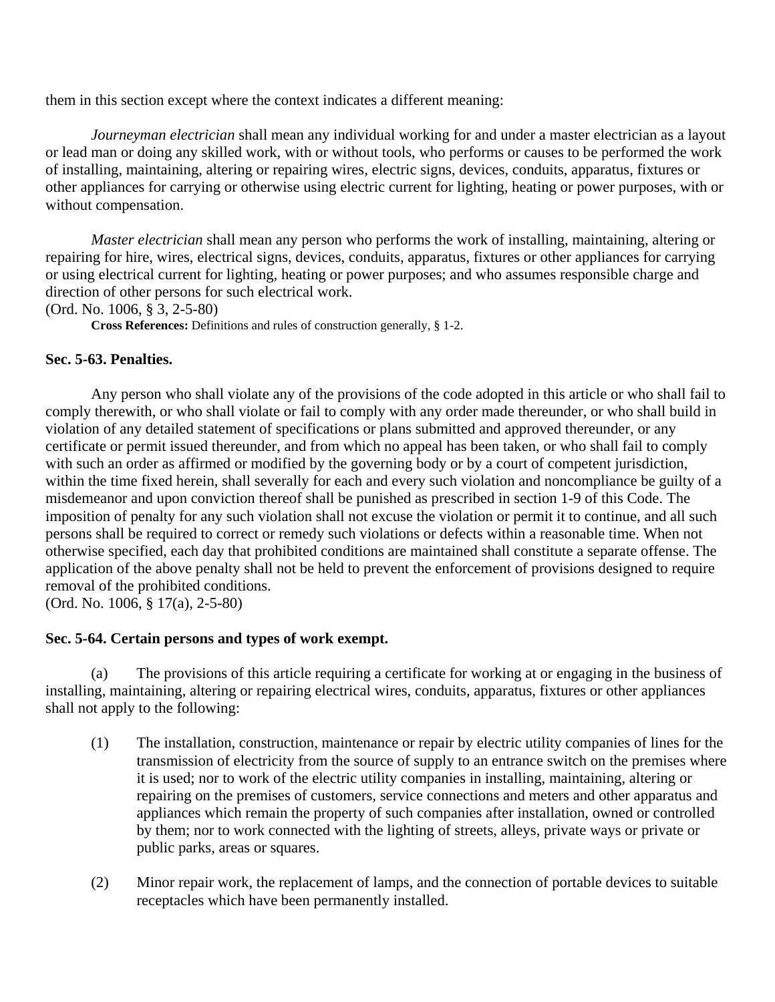them in this section except where the context indicates a different meaning:

*Journeyman electrician* shall mean any individual working for and under a master electrician as a layout or lead man or doing any skilled work, with or without tools, who performs or causes to be performed the work of installing, maintaining, altering or repairing wires, electric signs, devices, conduits, apparatus, fixtures or other appliances for carrying or otherwise using electric current for lighting, heating or power purposes, with or without compensation.

*Master electrician* shall mean any person who performs the work of installing, maintaining, altering or repairing for hire, wires, electrical signs, devices, conduits, apparatus, fixtures or other appliances for carrying or using electrical current for lighting, heating or power purposes; and who assumes responsible charge and direction of other persons for such electrical work.

(Ord. No. 1006, § 3, 2-5-80)

**Cross References:** Definitions and rules of construction generally, § 1-2.

## **Sec. 5-63. Penalties.**

Any person who shall violate any of the provisions of the code adopted in this article or who shall fail to comply therewith, or who shall violate or fail to comply with any order made thereunder, or who shall build in violation of any detailed statement of specifications or plans submitted and approved thereunder, or any certificate or permit issued thereunder, and from which no appeal has been taken, or who shall fail to comply with such an order as affirmed or modified by the governing body or by a court of competent jurisdiction, within the time fixed herein, shall severally for each and every such violation and noncompliance be guilty of a misdemeanor and upon conviction thereof shall be punished as prescribed in section 1-9 of this Code. The imposition of penalty for any such violation shall not excuse the violation or permit it to continue, and all such persons shall be required to correct or remedy such violations or defects within a reasonable time. When not otherwise specified, each day that prohibited conditions are maintained shall constitute a separate offense. The application of the above penalty shall not be held to prevent the enforcement of provisions designed to require removal of the prohibited conditions.

(Ord. No. 1006, § 17(a), 2-5-80)

## **Sec. 5-64. Certain persons and types of work exempt.**

 (a) The provisions of this article requiring a certificate for working at or engaging in the business of installing, maintaining, altering or repairing electrical wires, conduits, apparatus, fixtures or other appliances shall not apply to the following:

- (1) The installation, construction, maintenance or repair by electric utility companies of lines for the transmission of electricity from the source of supply to an entrance switch on the premises where it is used; nor to work of the electric utility companies in installing, maintaining, altering or repairing on the premises of customers, service connections and meters and other apparatus and appliances which remain the property of such companies after installation, owned or controlled by them; nor to work connected with the lighting of streets, alleys, private ways or private or public parks, areas or squares.
- (2) Minor repair work, the replacement of lamps, and the connection of portable devices to suitable receptacles which have been permanently installed.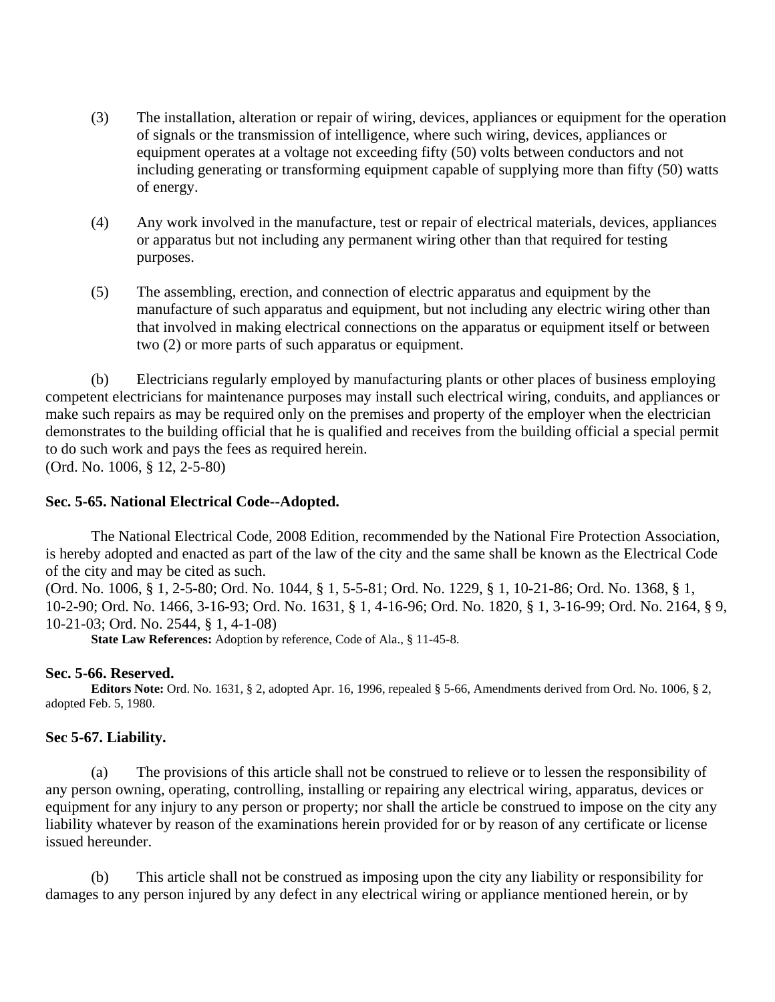- (3) The installation, alteration or repair of wiring, devices, appliances or equipment for the operation of signals or the transmission of intelligence, where such wiring, devices, appliances or equipment operates at a voltage not exceeding fifty (50) volts between conductors and not including generating or transforming equipment capable of supplying more than fifty (50) watts of energy.
- (4) Any work involved in the manufacture, test or repair of electrical materials, devices, appliances or apparatus but not including any permanent wiring other than that required for testing purposes.
- (5) The assembling, erection, and connection of electric apparatus and equipment by the manufacture of such apparatus and equipment, but not including any electric wiring other than that involved in making electrical connections on the apparatus or equipment itself or between two (2) or more parts of such apparatus or equipment.

 (b) Electricians regularly employed by manufacturing plants or other places of business employing competent electricians for maintenance purposes may install such electrical wiring, conduits, and appliances or make such repairs as may be required only on the premises and property of the employer when the electrician demonstrates to the building official that he is qualified and receives from the building official a special permit to do such work and pays the fees as required herein. (Ord. No. 1006, § 12, 2-5-80)

**Sec. 5-65. National Electrical Code--Adopted.** 

The National Electrical Code, 2008 Edition, recommended by the National Fire Protection Association, is hereby adopted and enacted as part of the law of the city and the same shall be known as the Electrical Code of the city and may be cited as such.

(Ord. No. 1006, § 1, 2-5-80; Ord. No. 1044, § 1, 5-5-81; Ord. No. 1229, § 1, 10-21-86; Ord. No. 1368, § 1, 10-2-90; Ord. No. 1466, 3-16-93; Ord. No. 1631, § 1, 4-16-96; Ord. No. 1820, § 1, 3-16-99; Ord. No. 2164, § 9, 10-21-03; Ord. No. 2544, § 1, 4-1-08)

**State Law References:** Adoption by reference, Code of Ala., § 11-45-8.

## **Sec. 5-66. Reserved.**

**Editors Note:** Ord. No. 1631, § 2, adopted Apr. 16, 1996, repealed § 5-66, Amendments derived from Ord. No. 1006, § 2, adopted Feb. 5, 1980.

## **Sec 5-67. Liability.**

 (a) The provisions of this article shall not be construed to relieve or to lessen the responsibility of any person owning, operating, controlling, installing or repairing any electrical wiring, apparatus, devices or equipment for any injury to any person or property; nor shall the article be construed to impose on the city any liability whatever by reason of the examinations herein provided for or by reason of any certificate or license issued hereunder.

 (b) This article shall not be construed as imposing upon the city any liability or responsibility for damages to any person injured by any defect in any electrical wiring or appliance mentioned herein, or by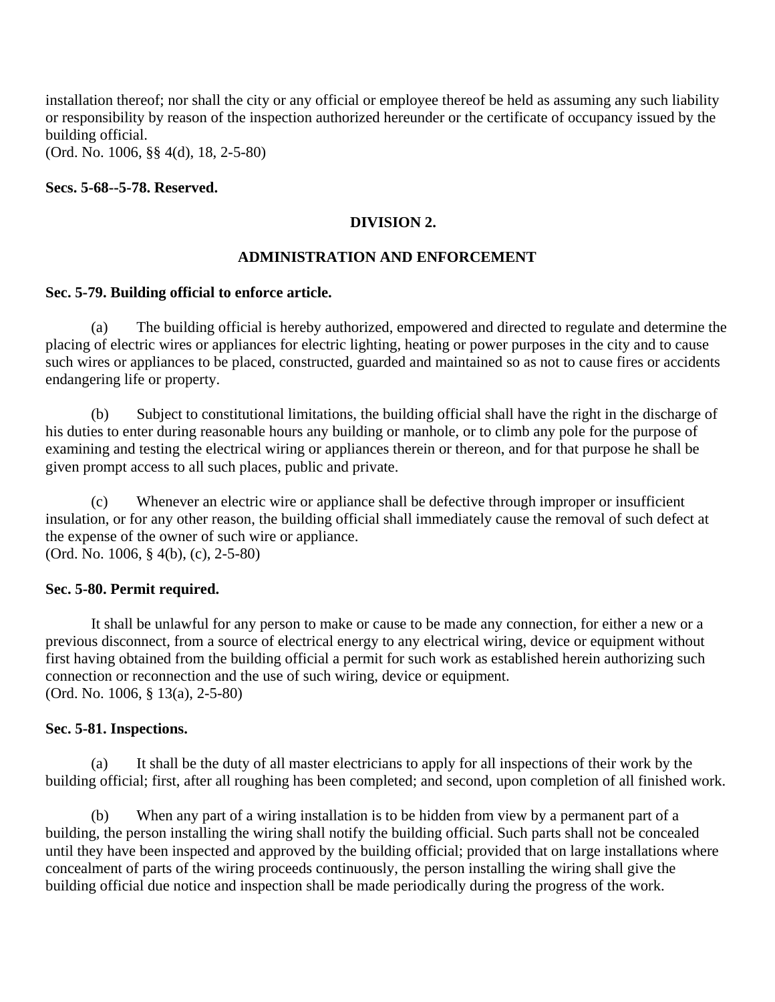installation thereof; nor shall the city or any official or employee thereof be held as assuming any such liability or responsibility by reason of the inspection authorized hereunder or the certificate of occupancy issued by the building official.

(Ord. No. 1006, §§ 4(d), 18, 2-5-80)

**Secs. 5-68--5-78. Reserved.**

## **DIVISION 2.**

### **ADMINISTRATION AND ENFORCEMENT**

### **Sec. 5-79. Building official to enforce article.**

 (a) The building official is hereby authorized, empowered and directed to regulate and determine the placing of electric wires or appliances for electric lighting, heating or power purposes in the city and to cause such wires or appliances to be placed, constructed, guarded and maintained so as not to cause fires or accidents endangering life or property.

 (b) Subject to constitutional limitations, the building official shall have the right in the discharge of his duties to enter during reasonable hours any building or manhole, or to climb any pole for the purpose of examining and testing the electrical wiring or appliances therein or thereon, and for that purpose he shall be given prompt access to all such places, public and private.

 (c) Whenever an electric wire or appliance shall be defective through improper or insufficient insulation, or for any other reason, the building official shall immediately cause the removal of such defect at the expense of the owner of such wire or appliance. (Ord. No. 1006, § 4(b), (c), 2-5-80)

#### **Sec. 5-80. Permit required.**

It shall be unlawful for any person to make or cause to be made any connection, for either a new or a previous disconnect, from a source of electrical energy to any electrical wiring, device or equipment without first having obtained from the building official a permit for such work as established herein authorizing such connection or reconnection and the use of such wiring, device or equipment. (Ord. No. 1006, § 13(a), 2-5-80)

#### **Sec. 5-81. Inspections.**

 (a) It shall be the duty of all master electricians to apply for all inspections of their work by the building official; first, after all roughing has been completed; and second, upon completion of all finished work.

 (b) When any part of a wiring installation is to be hidden from view by a permanent part of a building, the person installing the wiring shall notify the building official. Such parts shall not be concealed until they have been inspected and approved by the building official; provided that on large installations where concealment of parts of the wiring proceeds continuously, the person installing the wiring shall give the building official due notice and inspection shall be made periodically during the progress of the work.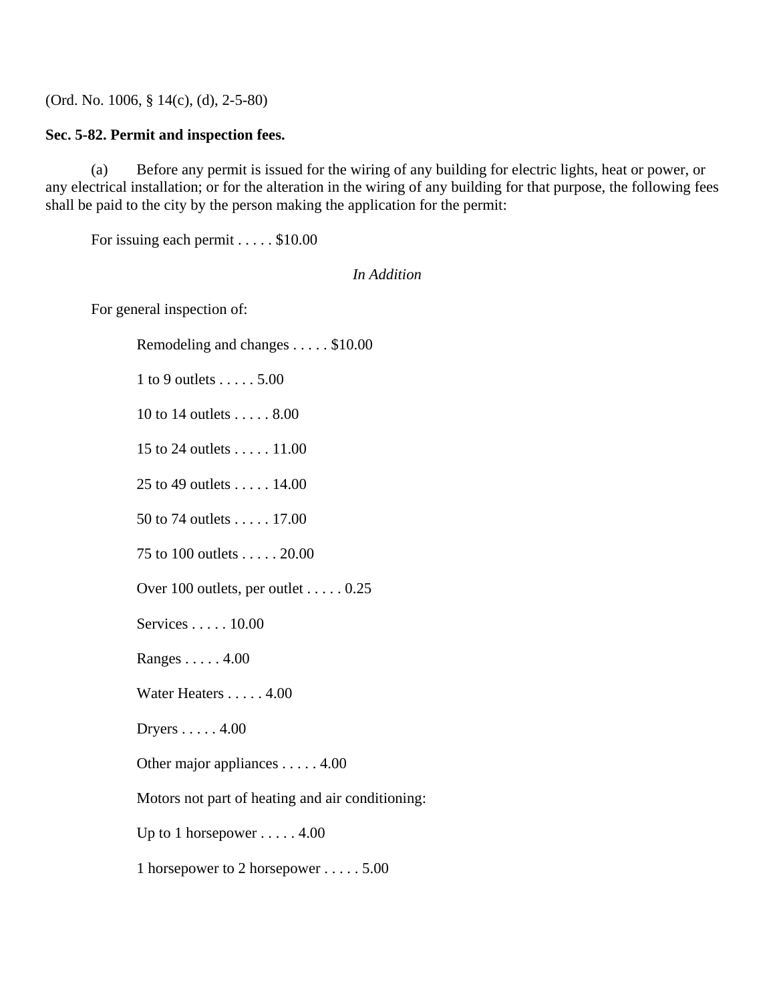(Ord. No. 1006, § 14(c), (d), 2-5-80)

## **Sec. 5-82. Permit and inspection fees.**

 (a) Before any permit is issued for the wiring of any building for electric lights, heat or power, or any electrical installation; or for the alteration in the wiring of any building for that purpose, the following fees shall be paid to the city by the person making the application for the permit:

For issuing each permit . . . . . \$10.00

### *In Addition*

For general inspection of:

Remodeling and changes . . . . . \$10.00

1 to 9 outlets . . . . . 5.00

10 to 14 outlets . . . . . 8.00

15 to 24 outlets . . . . . 11.00

25 to 49 outlets . . . . . 14.00

50 to 74 outlets . . . . . 17.00

75 to 100 outlets . . . . . 20.00

Over 100 outlets, per outlet . . . . . 0.25

Services . . . . . 10.00

Ranges . . . . . 4.00

Water Heaters . . . . . 4.00

Dryers . . . . . 4.00

Other major appliances . . . . . 4.00

Motors not part of heating and air conditioning:

Up to 1 horsepower  $\dots$  . 4.00

1 horsepower to 2 horsepower . . . . . 5.00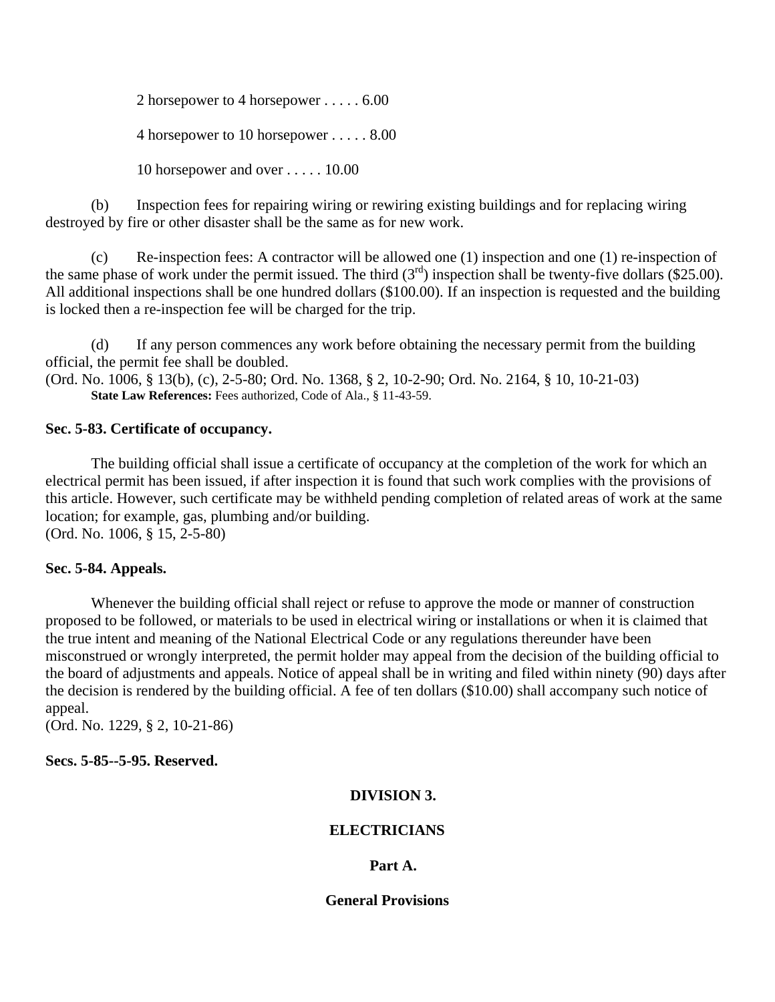2 horsepower to 4 horsepower . . . . . 6.00

4 horsepower to 10 horsepower . . . . . 8.00

10 horsepower and over . . . . . 10.00

 (b) Inspection fees for repairing wiring or rewiring existing buildings and for replacing wiring destroyed by fire or other disaster shall be the same as for new work.

 (c) Re-inspection fees: A contractor will be allowed one (1) inspection and one (1) re-inspection of the same phase of work under the permit issued. The third  $(3<sup>rd</sup>)$  inspection shall be twenty-five dollars (\$25.00). All additional inspections shall be one hundred dollars (\$100.00). If an inspection is requested and the building is locked then a re-inspection fee will be charged for the trip.

 (d) If any person commences any work before obtaining the necessary permit from the building official, the permit fee shall be doubled. (Ord. No. 1006, § 13(b), (c), 2-5-80; Ord. No. 1368, § 2, 10-2-90; Ord. No. 2164, § 10, 10-21-03) **State Law References:** Fees authorized, Code of Ala., § 11-43-59.

## **Sec. 5-83. Certificate of occupancy.**

The building official shall issue a certificate of occupancy at the completion of the work for which an electrical permit has been issued, if after inspection it is found that such work complies with the provisions of this article. However, such certificate may be withheld pending completion of related areas of work at the same location; for example, gas, plumbing and/or building. (Ord. No. 1006, § 15, 2-5-80)

## **Sec. 5-84. Appeals.**

Whenever the building official shall reject or refuse to approve the mode or manner of construction proposed to be followed, or materials to be used in electrical wiring or installations or when it is claimed that the true intent and meaning of the National Electrical Code or any regulations thereunder have been misconstrued or wrongly interpreted, the permit holder may appeal from the decision of the building official to the board of adjustments and appeals. Notice of appeal shall be in writing and filed within ninety (90) days after the decision is rendered by the building official. A fee of ten dollars (\$10.00) shall accompany such notice of appeal.

(Ord. No. 1229, § 2, 10-21-86)

# **Secs. 5-85--5-95. Reserved.**

# **DIVISION 3.**

# **ELECTRICIANS**

# **Part A.**

## **General Provisions**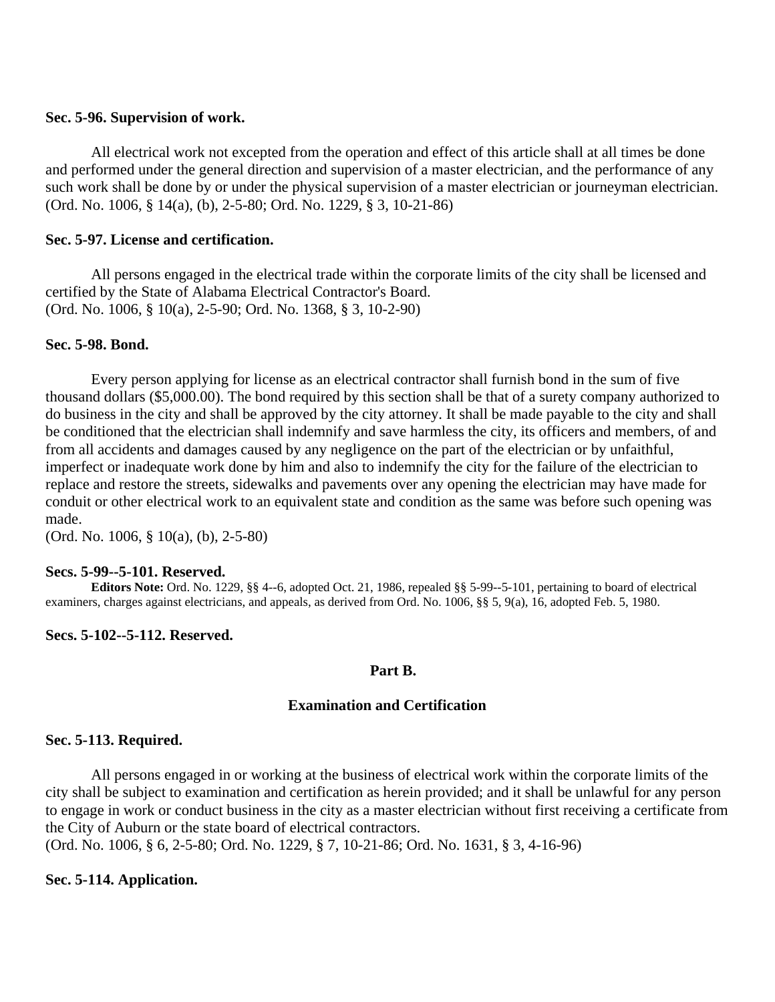## **Sec. 5-96. Supervision of work.**

All electrical work not excepted from the operation and effect of this article shall at all times be done and performed under the general direction and supervision of a master electrician, and the performance of any such work shall be done by or under the physical supervision of a master electrician or journeyman electrician. (Ord. No. 1006, § 14(a), (b), 2-5-80; Ord. No. 1229, § 3, 10-21-86)

## **Sec. 5-97. License and certification.**

All persons engaged in the electrical trade within the corporate limits of the city shall be licensed and certified by the State of Alabama Electrical Contractor's Board. (Ord. No. 1006, § 10(a), 2-5-90; Ord. No. 1368, § 3, 10-2-90)

## **Sec. 5-98. Bond.**

Every person applying for license as an electrical contractor shall furnish bond in the sum of five thousand dollars (\$5,000.00). The bond required by this section shall be that of a surety company authorized to do business in the city and shall be approved by the city attorney. It shall be made payable to the city and shall be conditioned that the electrician shall indemnify and save harmless the city, its officers and members, of and from all accidents and damages caused by any negligence on the part of the electrician or by unfaithful, imperfect or inadequate work done by him and also to indemnify the city for the failure of the electrician to replace and restore the streets, sidewalks and pavements over any opening the electrician may have made for conduit or other electrical work to an equivalent state and condition as the same was before such opening was made.

(Ord. No. 1006, § 10(a), (b), 2-5-80)

### **Secs. 5-99--5-101. Reserved.**

**Editors Note:** Ord. No. 1229, §§ 4--6, adopted Oct. 21, 1986, repealed §§ 5-99--5-101, pertaining to board of electrical examiners, charges against electricians, and appeals, as derived from Ord. No. 1006, §§ 5, 9(a), 16, adopted Feb. 5, 1980.

## **Secs. 5-102--5-112. Reserved.**

## **Part B.**

## **Examination and Certification**

## **Sec. 5-113. Required.**

All persons engaged in or working at the business of electrical work within the corporate limits of the city shall be subject to examination and certification as herein provided; and it shall be unlawful for any person to engage in work or conduct business in the city as a master electrician without first receiving a certificate from the City of Auburn or the state board of electrical contractors.

(Ord. No. 1006, § 6, 2-5-80; Ord. No. 1229, § 7, 10-21-86; Ord. No. 1631, § 3, 4-16-96)

### **Sec. 5-114. Application.**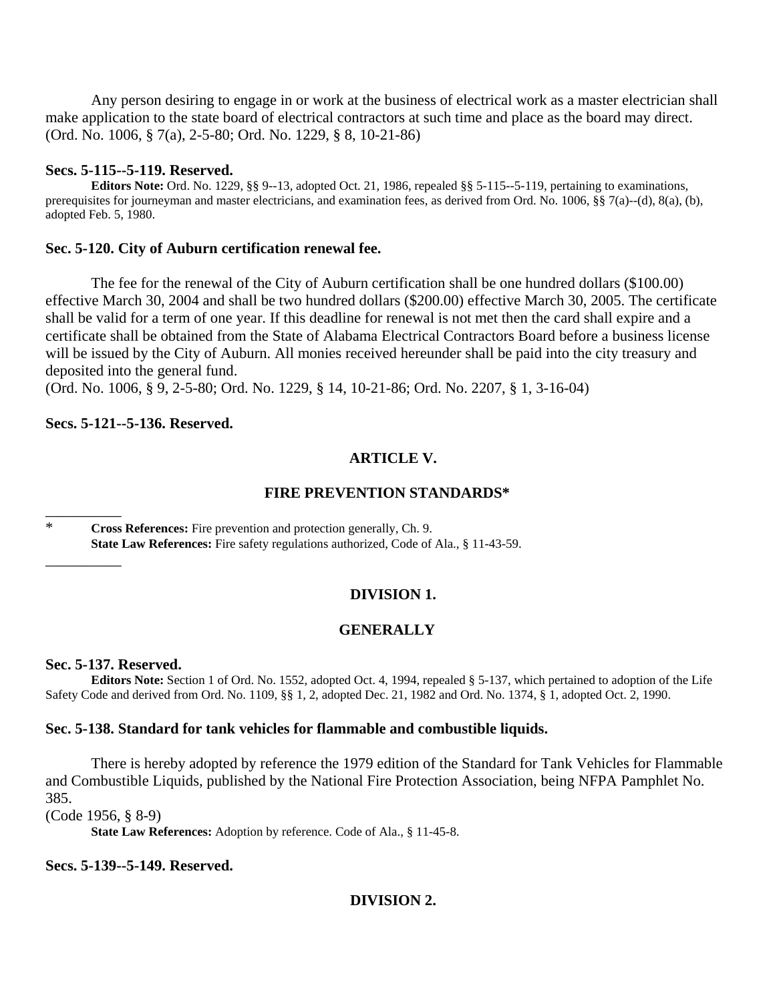Any person desiring to engage in or work at the business of electrical work as a master electrician shall make application to the state board of electrical contractors at such time and place as the board may direct. (Ord. No. 1006, § 7(a), 2-5-80; Ord. No. 1229, § 8, 10-21-86)

### **Secs. 5-115--5-119. Reserved.**

**Editors Note:** Ord. No. 1229, §§ 9--13, adopted Oct. 21, 1986, repealed §§ 5-115--5-119, pertaining to examinations, prerequisites for journeyman and master electricians, and examination fees, as derived from Ord. No. 1006, §§ 7(a)--(d), 8(a), (b), adopted Feb. 5, 1980.

### **Sec. 5-120. City of Auburn certification renewal fee.**

The fee for the renewal of the City of Auburn certification shall be one hundred dollars (\$100.00) effective March 30, 2004 and shall be two hundred dollars (\$200.00) effective March 30, 2005. The certificate shall be valid for a term of one year. If this deadline for renewal is not met then the card shall expire and a certificate shall be obtained from the State of Alabama Electrical Contractors Board before a business license will be issued by the City of Auburn. All monies received hereunder shall be paid into the city treasury and deposited into the general fund.

(Ord. No. 1006, § 9, 2-5-80; Ord. No. 1229, § 14, 10-21-86; Ord. No. 2207, § 1, 3-16-04)

### **Secs. 5-121--5-136. Reserved.**

### **ARTICLE V.**

### **FIRE PREVENTION STANDARDS\***

\* **Cross References:** Fire prevention and protection generally, Ch. 9. **State Law References:** Fire safety regulations authorized, Code of Ala., § 11-43-59.

## **DIVISION 1.**

### **GENERALLY**

#### **Sec. 5-137. Reserved.**

\_\_\_\_\_\_\_\_\_\_

\_\_\_\_\_\_\_\_\_\_

**Editors Note:** Section 1 of Ord. No. 1552, adopted Oct. 4, 1994, repealed § 5-137, which pertained to adoption of the Life Safety Code and derived from Ord. No. 1109, §§ 1, 2, adopted Dec. 21, 1982 and Ord. No. 1374, § 1, adopted Oct. 2, 1990.

### **Sec. 5-138. Standard for tank vehicles for flammable and combustible liquids.**

There is hereby adopted by reference the 1979 edition of the Standard for Tank Vehicles for Flammable and Combustible Liquids, published by the National Fire Protection Association, being NFPA Pamphlet No. 385.

(Code 1956, § 8-9)

**State Law References:** Adoption by reference. Code of Ala., § 11-45-8.

**Secs. 5-139--5-149. Reserved.**

## **DIVISION 2.**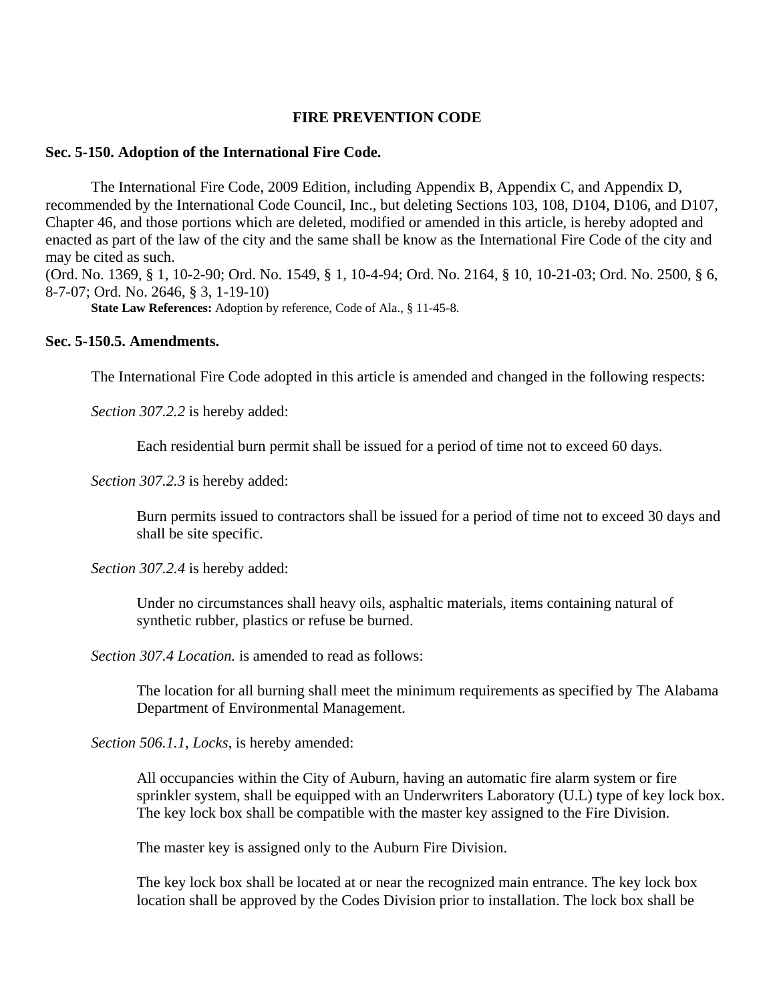## **FIRE PREVENTION CODE**

### **Sec. 5-150. Adoption of the International Fire Code.**

The International Fire Code, 2009 Edition, including Appendix B, Appendix C, and Appendix D, recommended by the International Code Council, Inc., but deleting Sections 103, 108, D104, D106, and D107, Chapter 46, and those portions which are deleted, modified or amended in this article, is hereby adopted and enacted as part of the law of the city and the same shall be know as the International Fire Code of the city and may be cited as such.

(Ord. No. 1369, § 1, 10-2-90; Ord. No. 1549, § 1, 10-4-94; Ord. No. 2164, § 10, 10-21-03; Ord. No. 2500, § 6, 8-7-07; Ord. No. 2646, § 3, 1-19-10)

**State Law References:** Adoption by reference, Code of Ala., § 11-45-8.

## **Sec. 5-150.5. Amendments.**

The International Fire Code adopted in this article is amended and changed in the following respects:

*Section 307.2.2* is hereby added:

Each residential burn permit shall be issued for a period of time not to exceed 60 days.

*Section 307.2.3* is hereby added:

Burn permits issued to contractors shall be issued for a period of time not to exceed 30 days and shall be site specific.

*Section 307.2.4* is hereby added:

Under no circumstances shall heavy oils, asphaltic materials, items containing natural of synthetic rubber, plastics or refuse be burned.

*Section 307.4 Location.* is amended to read as follows:

The location for all burning shall meet the minimum requirements as specified by The Alabama Department of Environmental Management.

*Section 506.1.1, Locks,* is hereby amended:

All occupancies within the City of Auburn, having an automatic fire alarm system or fire sprinkler system, shall be equipped with an Underwriters Laboratory (U.L) type of key lock box. The key lock box shall be compatible with the master key assigned to the Fire Division.

The master key is assigned only to the Auburn Fire Division.

The key lock box shall be located at or near the recognized main entrance. The key lock box location shall be approved by the Codes Division prior to installation. The lock box shall be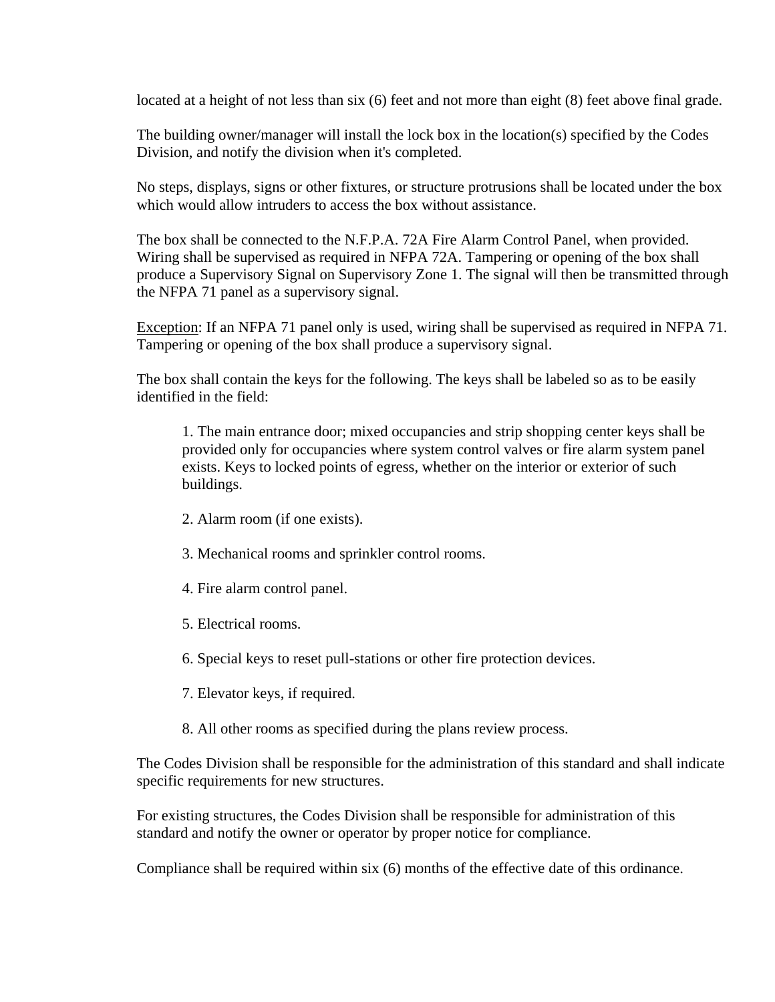located at a height of not less than six (6) feet and not more than eight (8) feet above final grade.

The building owner/manager will install the lock box in the location(s) specified by the Codes Division, and notify the division when it's completed.

No steps, displays, signs or other fixtures, or structure protrusions shall be located under the box which would allow intruders to access the box without assistance.

The box shall be connected to the N.F.P.A. 72A Fire Alarm Control Panel, when provided. Wiring shall be supervised as required in NFPA 72A. Tampering or opening of the box shall produce a Supervisory Signal on Supervisory Zone 1. The signal will then be transmitted through the NFPA 71 panel as a supervisory signal.

Exception: If an NFPA 71 panel only is used, wiring shall be supervised as required in NFPA 71. Tampering or opening of the box shall produce a supervisory signal.

The box shall contain the keys for the following. The keys shall be labeled so as to be easily identified in the field:

1. The main entrance door; mixed occupancies and strip shopping center keys shall be provided only for occupancies where system control valves or fire alarm system panel exists. Keys to locked points of egress, whether on the interior or exterior of such buildings.

- 2. Alarm room (if one exists).
- 3. Mechanical rooms and sprinkler control rooms.
- 4. Fire alarm control panel.
- 5. Electrical rooms.
- 6. Special keys to reset pull-stations or other fire protection devices.
- 7. Elevator keys, if required.
- 8. All other rooms as specified during the plans review process.

The Codes Division shall be responsible for the administration of this standard and shall indicate specific requirements for new structures.

For existing structures, the Codes Division shall be responsible for administration of this standard and notify the owner or operator by proper notice for compliance.

Compliance shall be required within six (6) months of the effective date of this ordinance.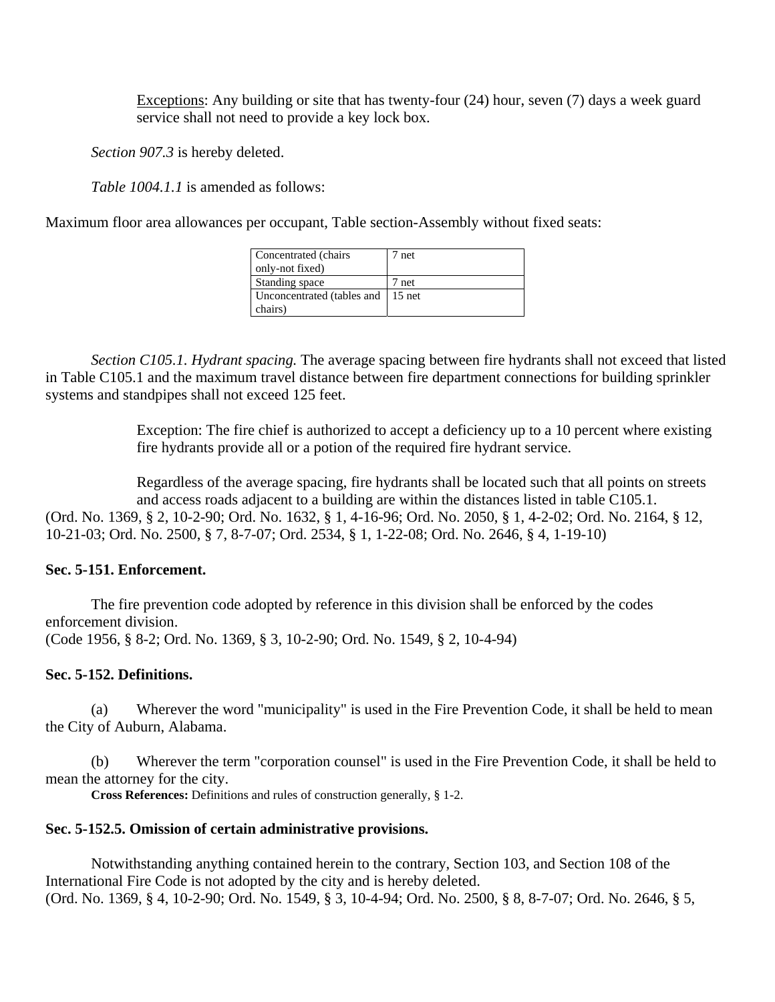Exceptions: Any building or site that has twenty-four (24) hour, seven (7) days a week guard service shall not need to provide a key lock box.

*Section 907.3* is hereby deleted.

*Table 1004.1.1* is amended as follows:

Maximum floor area allowances per occupant, Table section-Assembly without fixed seats:

| Concentrated (chairs<br>only-not fixed) | 7 net |
|-----------------------------------------|-------|
| Standing space                          | 7 net |
| Unconcentrated (tables and 15 net       |       |
| chairs)                                 |       |

*Section C105.1. Hydrant spacing.* The average spacing between fire hydrants shall not exceed that listed in Table C105.1 and the maximum travel distance between fire department connections for building sprinkler systems and standpipes shall not exceed 125 feet.

> Exception: The fire chief is authorized to accept a deficiency up to a 10 percent where existing fire hydrants provide all or a potion of the required fire hydrant service.

Regardless of the average spacing, fire hydrants shall be located such that all points on streets and access roads adjacent to a building are within the distances listed in table C105.1. (Ord. No. 1369, § 2, 10-2-90; Ord. No. 1632, § 1, 4-16-96; Ord. No. 2050, § 1, 4-2-02; Ord. No. 2164, § 12, 10-21-03; Ord. No. 2500, § 7, 8-7-07; Ord. 2534, § 1, 1-22-08; Ord. No. 2646, § 4, 1-19-10)

# **Sec. 5-151. Enforcement.**

The fire prevention code adopted by reference in this division shall be enforced by the codes enforcement division. (Code 1956, § 8-2; Ord. No. 1369, § 3, 10-2-90; Ord. No. 1549, § 2, 10-4-94)

## **Sec. 5-152. Definitions.**

 (a) Wherever the word "municipality" is used in the Fire Prevention Code, it shall be held to mean the City of Auburn, Alabama.

 (b) Wherever the term "corporation counsel" is used in the Fire Prevention Code, it shall be held to mean the attorney for the city.

**Cross References:** Definitions and rules of construction generally, § 1-2.

## **Sec. 5-152.5. Omission of certain administrative provisions.**

Notwithstanding anything contained herein to the contrary, Section 103, and Section 108 of the International Fire Code is not adopted by the city and is hereby deleted. (Ord. No. 1369, § 4, 10-2-90; Ord. No. 1549, § 3, 10-4-94; Ord. No. 2500, § 8, 8-7-07; Ord. No. 2646, § 5,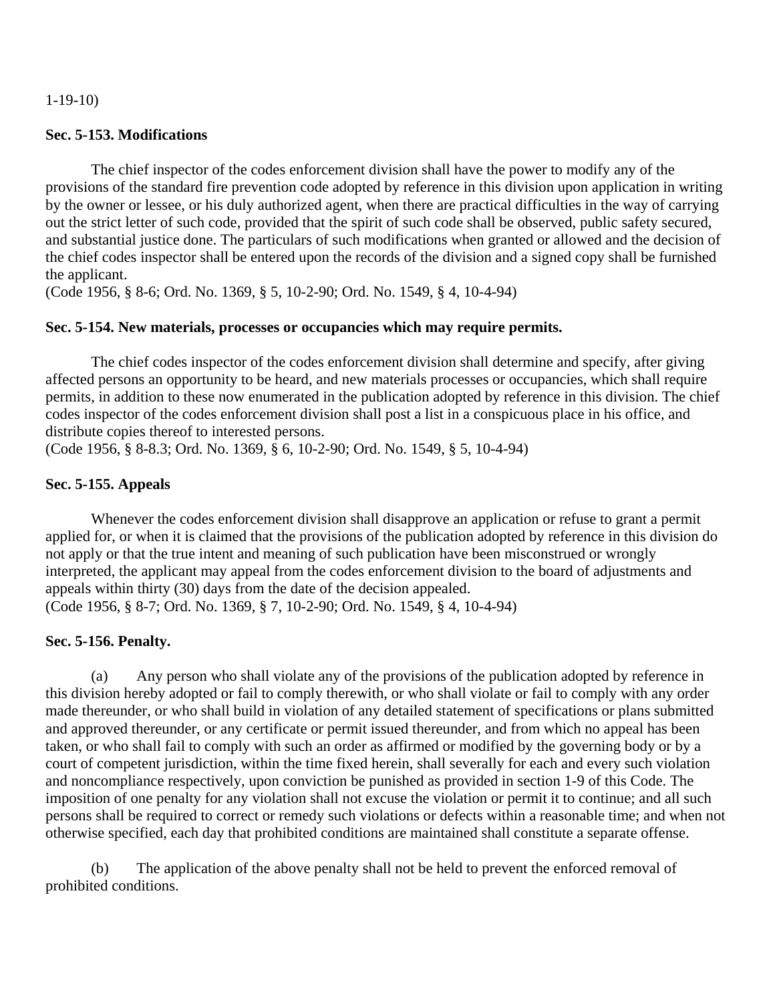1-19-10)

## **Sec. 5-153. Modifications**

The chief inspector of the codes enforcement division shall have the power to modify any of the provisions of the standard fire prevention code adopted by reference in this division upon application in writing by the owner or lessee, or his duly authorized agent, when there are practical difficulties in the way of carrying out the strict letter of such code, provided that the spirit of such code shall be observed, public safety secured, and substantial justice done. The particulars of such modifications when granted or allowed and the decision of the chief codes inspector shall be entered upon the records of the division and a signed copy shall be furnished the applicant.

(Code 1956, § 8-6; Ord. No. 1369, § 5, 10-2-90; Ord. No. 1549, § 4, 10-4-94)

## **Sec. 5-154. New materials, processes or occupancies which may require permits.**

The chief codes inspector of the codes enforcement division shall determine and specify, after giving affected persons an opportunity to be heard, and new materials processes or occupancies, which shall require permits, in addition to these now enumerated in the publication adopted by reference in this division. The chief codes inspector of the codes enforcement division shall post a list in a conspicuous place in his office, and distribute copies thereof to interested persons.

(Code 1956, § 8-8.3; Ord. No. 1369, § 6, 10-2-90; Ord. No. 1549, § 5, 10-4-94)

## **Sec. 5-155. Appeals**

Whenever the codes enforcement division shall disapprove an application or refuse to grant a permit applied for, or when it is claimed that the provisions of the publication adopted by reference in this division do not apply or that the true intent and meaning of such publication have been misconstrued or wrongly interpreted, the applicant may appeal from the codes enforcement division to the board of adjustments and appeals within thirty (30) days from the date of the decision appealed. (Code 1956, § 8-7; Ord. No. 1369, § 7, 10-2-90; Ord. No. 1549, § 4, 10-4-94)

### **Sec. 5-156. Penalty.**

 (a) Any person who shall violate any of the provisions of the publication adopted by reference in this division hereby adopted or fail to comply therewith, or who shall violate or fail to comply with any order made thereunder, or who shall build in violation of any detailed statement of specifications or plans submitted and approved thereunder, or any certificate or permit issued thereunder, and from which no appeal has been taken, or who shall fail to comply with such an order as affirmed or modified by the governing body or by a court of competent jurisdiction, within the time fixed herein, shall severally for each and every such violation and noncompliance respectively, upon conviction be punished as provided in section 1-9 of this Code. The imposition of one penalty for any violation shall not excuse the violation or permit it to continue; and all such persons shall be required to correct or remedy such violations or defects within a reasonable time; and when not otherwise specified, each day that prohibited conditions are maintained shall constitute a separate offense.

 (b) The application of the above penalty shall not be held to prevent the enforced removal of prohibited conditions.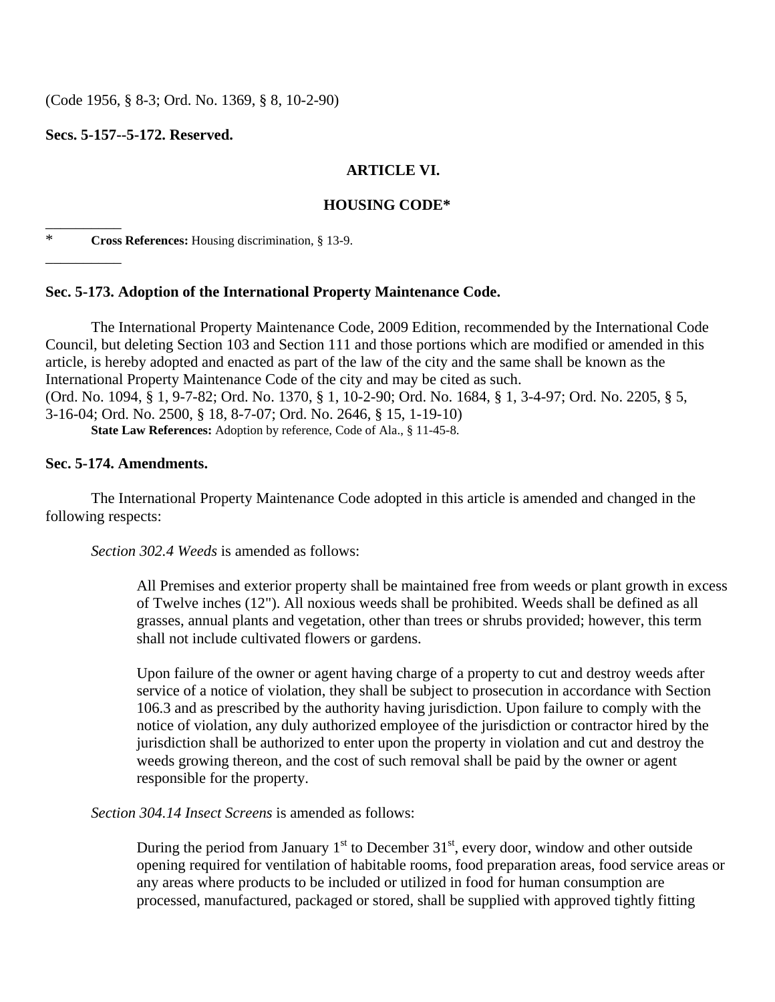(Code 1956, § 8-3; Ord. No. 1369, § 8, 10-2-90)

**Secs. 5-157--5-172. Reserved.**

\_\_\_\_\_\_\_\_\_\_

 $\overline{\phantom{a}}$ 

# **ARTICLE VI.**

# **HOUSING CODE\***

\* **Cross References:** Housing discrimination, § 13-9.

## **Sec. 5-173. Adoption of the International Property Maintenance Code.**

The International Property Maintenance Code, 2009 Edition, recommended by the International Code Council, but deleting Section 103 and Section 111 and those portions which are modified or amended in this article, is hereby adopted and enacted as part of the law of the city and the same shall be known as the International Property Maintenance Code of the city and may be cited as such. (Ord. No. 1094, § 1, 9-7-82; Ord. No. 1370, § 1, 10-2-90; Ord. No. 1684, § 1, 3-4-97; Ord. No. 2205, § 5, 3-16-04; Ord. No. 2500, § 18, 8-7-07; Ord. No. 2646, § 15, 1-19-10) **State Law References:** Adoption by reference, Code of Ala., § 11-45-8.

## **Sec. 5-174. Amendments.**

The International Property Maintenance Code adopted in this article is amended and changed in the following respects:

*Section 302.4 Weeds* is amended as follows:

All Premises and exterior property shall be maintained free from weeds or plant growth in excess of Twelve inches (12"). All noxious weeds shall be prohibited. Weeds shall be defined as all grasses, annual plants and vegetation, other than trees or shrubs provided; however, this term shall not include cultivated flowers or gardens.

Upon failure of the owner or agent having charge of a property to cut and destroy weeds after service of a notice of violation, they shall be subject to prosecution in accordance with Section 106.3 and as prescribed by the authority having jurisdiction. Upon failure to comply with the notice of violation, any duly authorized employee of the jurisdiction or contractor hired by the jurisdiction shall be authorized to enter upon the property in violation and cut and destroy the weeds growing thereon, and the cost of such removal shall be paid by the owner or agent responsible for the property.

*Section 304.14 Insect Screens* is amended as follows:

During the period from January  $1<sup>st</sup>$  to December 31<sup>st</sup>, every door, window and other outside opening required for ventilation of habitable rooms, food preparation areas, food service areas or any areas where products to be included or utilized in food for human consumption are processed, manufactured, packaged or stored, shall be supplied with approved tightly fitting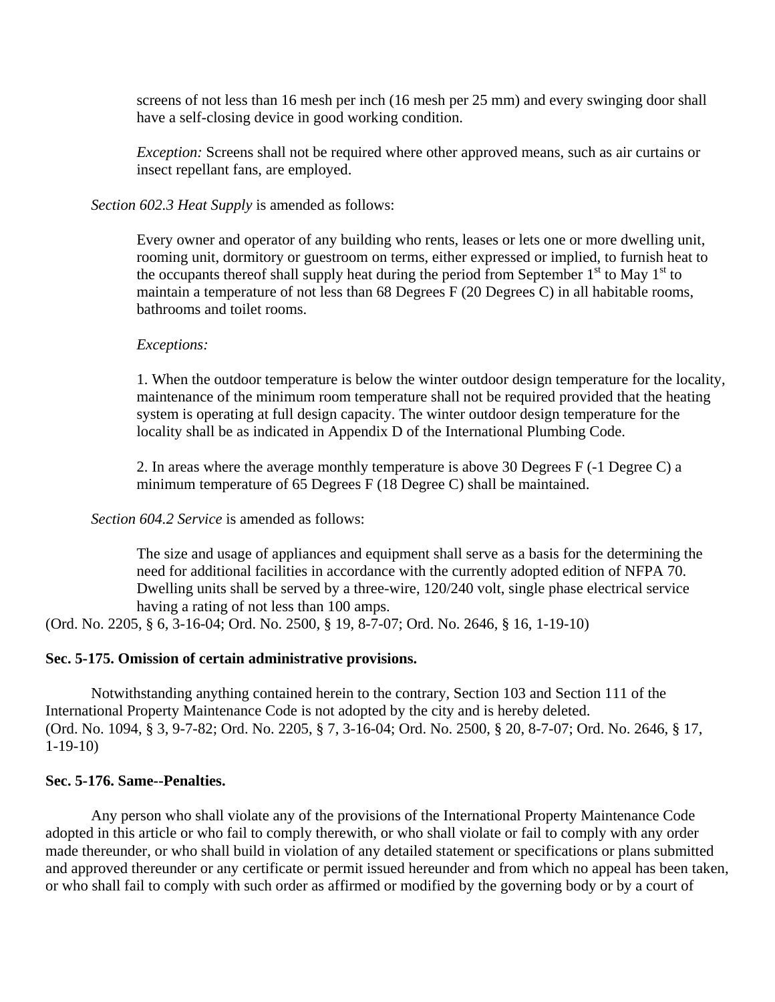screens of not less than 16 mesh per inch (16 mesh per 25 mm) and every swinging door shall have a self-closing device in good working condition.

*Exception:* Screens shall not be required where other approved means, such as air curtains or insect repellant fans, are employed.

*Section 602.3 Heat Supply* is amended as follows:

Every owner and operator of any building who rents, leases or lets one or more dwelling unit, rooming unit, dormitory or guestroom on terms, either expressed or implied, to furnish heat to the occupants thereof shall supply heat during the period from September  $1<sup>st</sup>$  to May  $1<sup>st</sup>$  to maintain a temperature of not less than 68 Degrees F (20 Degrees C) in all habitable rooms, bathrooms and toilet rooms.

## *Exceptions:*

1. When the outdoor temperature is below the winter outdoor design temperature for the locality, maintenance of the minimum room temperature shall not be required provided that the heating system is operating at full design capacity. The winter outdoor design temperature for the locality shall be as indicated in Appendix D of the International Plumbing Code.

2. In areas where the average monthly temperature is above 30 Degrees F (-1 Degree C) a minimum temperature of 65 Degrees F (18 Degree C) shall be maintained.

*Section 604.2 Service* is amended as follows:

The size and usage of appliances and equipment shall serve as a basis for the determining the need for additional facilities in accordance with the currently adopted edition of NFPA 70. Dwelling units shall be served by a three-wire, 120/240 volt, single phase electrical service having a rating of not less than 100 amps.

(Ord. No. 2205, § 6, 3-16-04; Ord. No. 2500, § 19, 8-7-07; Ord. No. 2646, § 16, 1-19-10)

## **Sec. 5-175. Omission of certain administrative provisions.**

Notwithstanding anything contained herein to the contrary, Section 103 and Section 111 of the International Property Maintenance Code is not adopted by the city and is hereby deleted. (Ord. No. 1094, § 3, 9-7-82; Ord. No. 2205, § 7, 3-16-04; Ord. No. 2500, § 20, 8-7-07; Ord. No. 2646, § 17, 1-19-10)

## **Sec. 5-176. Same--Penalties.**

Any person who shall violate any of the provisions of the International Property Maintenance Code adopted in this article or who fail to comply therewith, or who shall violate or fail to comply with any order made thereunder, or who shall build in violation of any detailed statement or specifications or plans submitted and approved thereunder or any certificate or permit issued hereunder and from which no appeal has been taken, or who shall fail to comply with such order as affirmed or modified by the governing body or by a court of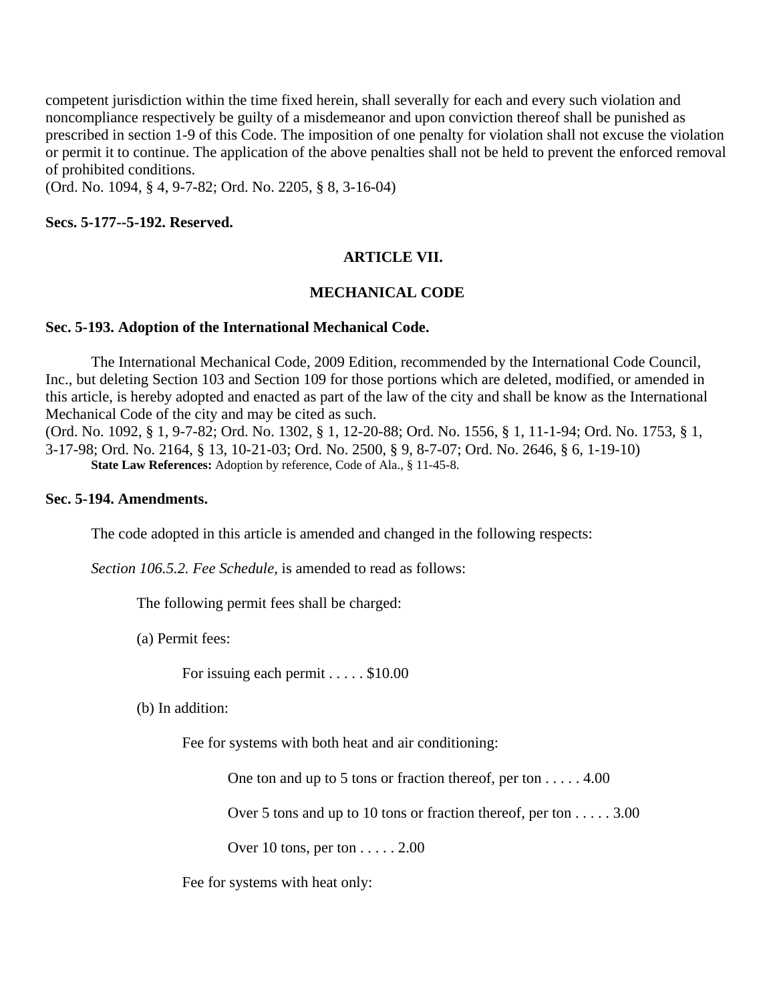competent jurisdiction within the time fixed herein, shall severally for each and every such violation and noncompliance respectively be guilty of a misdemeanor and upon conviction thereof shall be punished as prescribed in section 1-9 of this Code. The imposition of one penalty for violation shall not excuse the violation or permit it to continue. The application of the above penalties shall not be held to prevent the enforced removal of prohibited conditions.

(Ord. No. 1094, § 4, 9-7-82; Ord. No. 2205, § 8, 3-16-04)

**Secs. 5-177--5-192. Reserved.**

## **ARTICLE VII.**

### **MECHANICAL CODE**

### **Sec. 5-193. Adoption of the International Mechanical Code.**

The International Mechanical Code, 2009 Edition, recommended by the International Code Council, Inc., but deleting Section 103 and Section 109 for those portions which are deleted, modified, or amended in this article, is hereby adopted and enacted as part of the law of the city and shall be know as the International Mechanical Code of the city and may be cited as such.

(Ord. No. 1092, § 1, 9-7-82; Ord. No. 1302, § 1, 12-20-88; Ord. No. 1556, § 1, 11-1-94; Ord. No. 1753, § 1, 3-17-98; Ord. No. 2164, § 13, 10-21-03; Ord. No. 2500, § 9, 8-7-07; Ord. No. 2646, § 6, 1-19-10) **State Law References:** Adoption by reference, Code of Ala., § 11-45-8.

#### **Sec. 5-194. Amendments.**

The code adopted in this article is amended and changed in the following respects:

*Section 106.5.2. Fee Schedule,* is amended to read as follows:

The following permit fees shall be charged:

(a) Permit fees:

For issuing each permit . . . . . \$10.00

(b) In addition:

Fee for systems with both heat and air conditioning:

One ton and up to 5 tons or fraction thereof, per ton . . . . . 4.00

Over 5 tons and up to 10 tons or fraction thereof, per ton . . . . . 3.00

Over 10 tons, per ton . . . . . 2.00

Fee for systems with heat only: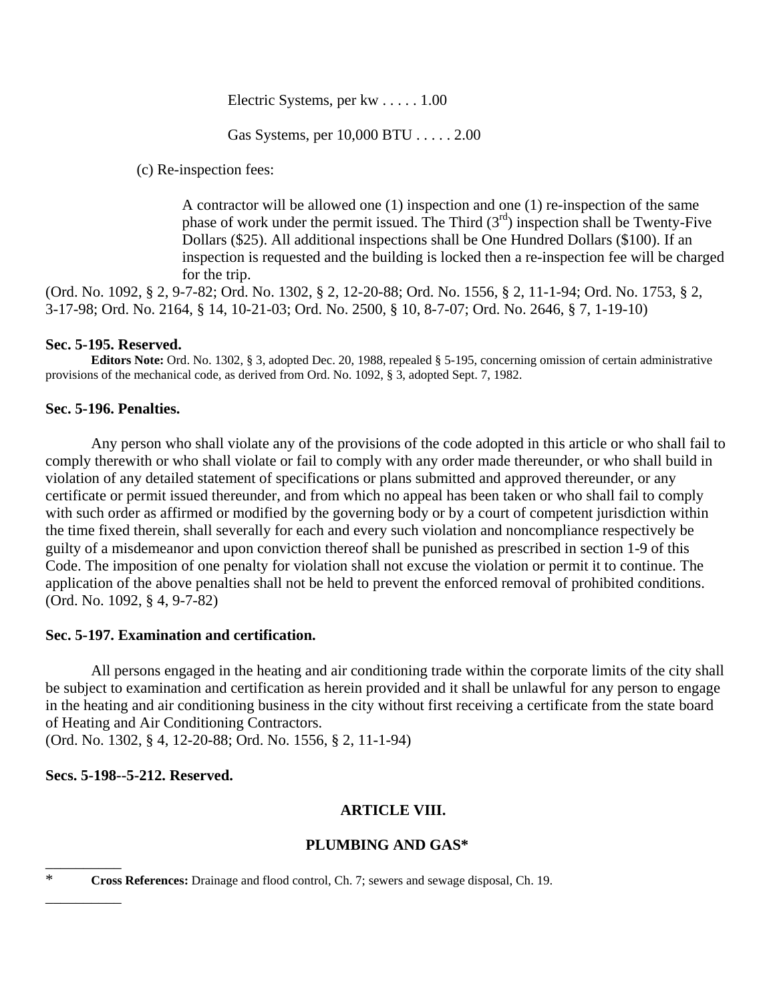Electric Systems, per kw . . . . . 1.00

Gas Systems, per 10,000 BTU . . . . . 2.00

(c) Re-inspection fees:

A contractor will be allowed one (1) inspection and one (1) re-inspection of the same phase of work under the permit issued. The Third  $(3<sup>rd</sup>)$  inspection shall be Twenty-Five Dollars (\$25). All additional inspections shall be One Hundred Dollars (\$100). If an inspection is requested and the building is locked then a re-inspection fee will be charged for the trip.

(Ord. No. 1092, § 2, 9-7-82; Ord. No. 1302, § 2, 12-20-88; Ord. No. 1556, § 2, 11-1-94; Ord. No. 1753, § 2, 3-17-98; Ord. No. 2164, § 14, 10-21-03; Ord. No. 2500, § 10, 8-7-07; Ord. No. 2646, § 7, 1-19-10)

## **Sec. 5-195. Reserved.**

**Editors Note:** Ord. No. 1302, § 3, adopted Dec. 20, 1988, repealed § 5-195, concerning omission of certain administrative provisions of the mechanical code, as derived from Ord. No. 1092, § 3, adopted Sept. 7, 1982.

## **Sec. 5-196. Penalties.**

Any person who shall violate any of the provisions of the code adopted in this article or who shall fail to comply therewith or who shall violate or fail to comply with any order made thereunder, or who shall build in violation of any detailed statement of specifications or plans submitted and approved thereunder, or any certificate or permit issued thereunder, and from which no appeal has been taken or who shall fail to comply with such order as affirmed or modified by the governing body or by a court of competent jurisdiction within the time fixed therein, shall severally for each and every such violation and noncompliance respectively be guilty of a misdemeanor and upon conviction thereof shall be punished as prescribed in section 1-9 of this Code. The imposition of one penalty for violation shall not excuse the violation or permit it to continue. The application of the above penalties shall not be held to prevent the enforced removal of prohibited conditions. (Ord. No. 1092, § 4, 9-7-82)

## **Sec. 5-197. Examination and certification.**

All persons engaged in the heating and air conditioning trade within the corporate limits of the city shall be subject to examination and certification as herein provided and it shall be unlawful for any person to engage in the heating and air conditioning business in the city without first receiving a certificate from the state board of Heating and Air Conditioning Contractors.

(Ord. No. 1302, § 4, 12-20-88; Ord. No. 1556, § 2, 11-1-94)

## **Secs. 5-198--5-212. Reserved.**

# **ARTICLE VIII.**

# **PLUMBING AND GAS\***

\_\_\_\_\_\_\_\_\_\_

\_\_\_\_\_\_\_\_\_\_

\* **Cross References:** Drainage and flood control, Ch. 7; sewers and sewage disposal, Ch. 19.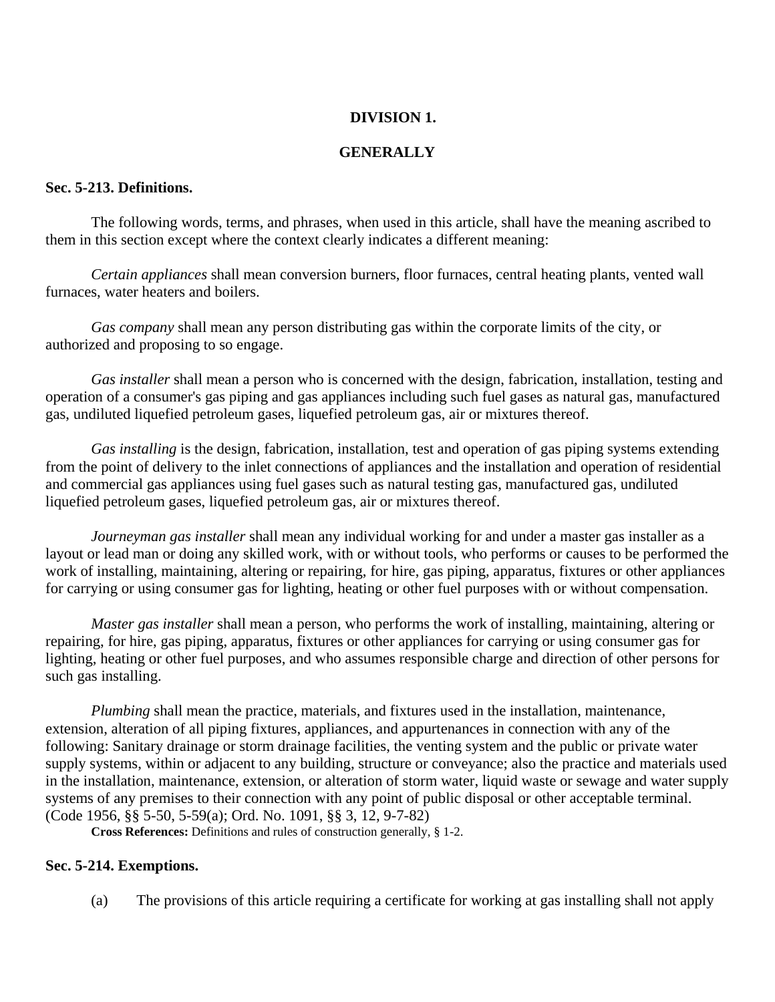## **DIVISION 1.**

## **GENERALLY**

## **Sec. 5-213. Definitions.**

The following words, terms, and phrases, when used in this article, shall have the meaning ascribed to them in this section except where the context clearly indicates a different meaning:

*Certain appliances* shall mean conversion burners, floor furnaces, central heating plants, vented wall furnaces, water heaters and boilers.

*Gas company* shall mean any person distributing gas within the corporate limits of the city, or authorized and proposing to so engage.

*Gas installer* shall mean a person who is concerned with the design, fabrication, installation, testing and operation of a consumer's gas piping and gas appliances including such fuel gases as natural gas, manufactured gas, undiluted liquefied petroleum gases, liquefied petroleum gas, air or mixtures thereof.

*Gas installing* is the design, fabrication, installation, test and operation of gas piping systems extending from the point of delivery to the inlet connections of appliances and the installation and operation of residential and commercial gas appliances using fuel gases such as natural testing gas, manufactured gas, undiluted liquefied petroleum gases, liquefied petroleum gas, air or mixtures thereof.

*Journeyman gas installer* shall mean any individual working for and under a master gas installer as a layout or lead man or doing any skilled work, with or without tools, who performs or causes to be performed the work of installing, maintaining, altering or repairing, for hire, gas piping, apparatus, fixtures or other appliances for carrying or using consumer gas for lighting, heating or other fuel purposes with or without compensation.

*Master gas installer* shall mean a person, who performs the work of installing, maintaining, altering or repairing, for hire, gas piping, apparatus, fixtures or other appliances for carrying or using consumer gas for lighting, heating or other fuel purposes, and who assumes responsible charge and direction of other persons for such gas installing.

*Plumbing* shall mean the practice, materials, and fixtures used in the installation, maintenance, extension, alteration of all piping fixtures, appliances, and appurtenances in connection with any of the following: Sanitary drainage or storm drainage facilities, the venting system and the public or private water supply systems, within or adjacent to any building, structure or conveyance; also the practice and materials used in the installation, maintenance, extension, or alteration of storm water, liquid waste or sewage and water supply systems of any premises to their connection with any point of public disposal or other acceptable terminal. (Code 1956, §§ 5-50, 5-59(a); Ord. No. 1091, §§ 3, 12, 9-7-82)

**Cross References:** Definitions and rules of construction generally, § 1-2.

# **Sec. 5-214. Exemptions.**

(a) The provisions of this article requiring a certificate for working at gas installing shall not apply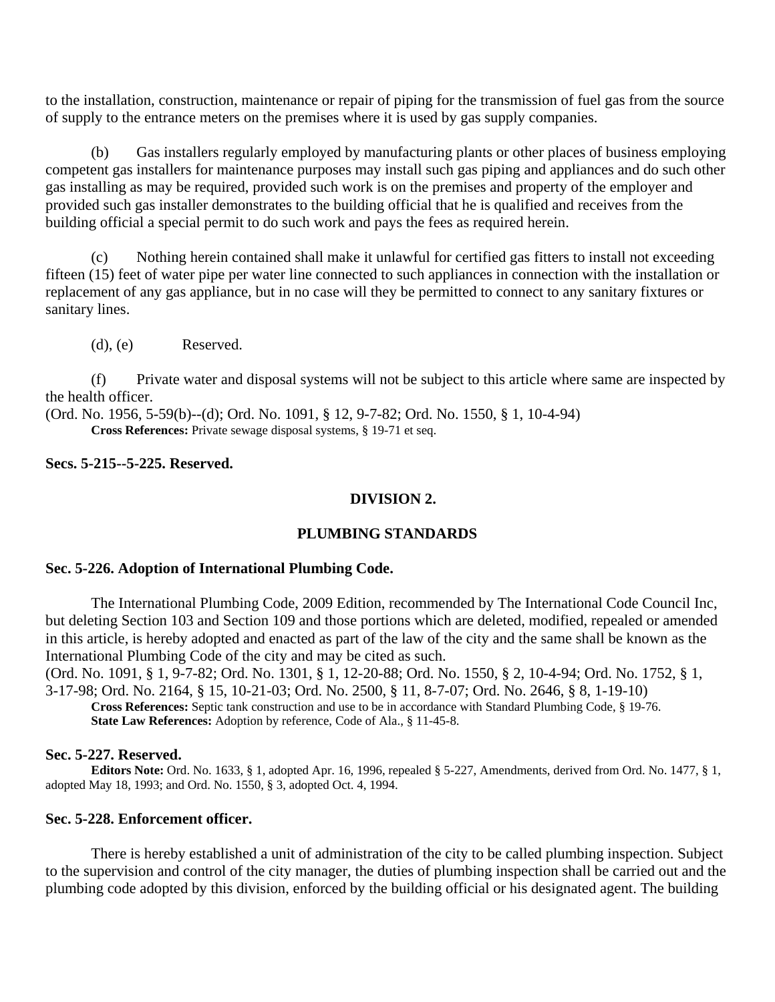to the installation, construction, maintenance or repair of piping for the transmission of fuel gas from the source of supply to the entrance meters on the premises where it is used by gas supply companies.

 (b) Gas installers regularly employed by manufacturing plants or other places of business employing competent gas installers for maintenance purposes may install such gas piping and appliances and do such other gas installing as may be required, provided such work is on the premises and property of the employer and provided such gas installer demonstrates to the building official that he is qualified and receives from the building official a special permit to do such work and pays the fees as required herein.

 (c) Nothing herein contained shall make it unlawful for certified gas fitters to install not exceeding fifteen (15) feet of water pipe per water line connected to such appliances in connection with the installation or replacement of any gas appliance, but in no case will they be permitted to connect to any sanitary fixtures or sanitary lines.

(d), (e) Reserved.

 (f) Private water and disposal systems will not be subject to this article where same are inspected by the health officer.

(Ord. No. 1956, 5-59(b)--(d); Ord. No. 1091, § 12, 9-7-82; Ord. No. 1550, § 1, 10-4-94) **Cross References:** Private sewage disposal systems, § 19-71 et seq.

**Secs. 5-215--5-225. Reserved.**

## **DIVISION 2.**

### **PLUMBING STANDARDS**

### **Sec. 5-226. Adoption of International Plumbing Code.**

The International Plumbing Code, 2009 Edition, recommended by The International Code Council Inc, but deleting Section 103 and Section 109 and those portions which are deleted, modified, repealed or amended in this article, is hereby adopted and enacted as part of the law of the city and the same shall be known as the International Plumbing Code of the city and may be cited as such.

(Ord. No. 1091, § 1, 9-7-82; Ord. No. 1301, § 1, 12-20-88; Ord. No. 1550, § 2, 10-4-94; Ord. No. 1752, § 1, 3-17-98; Ord. No. 2164, § 15, 10-21-03; Ord. No. 2500, § 11, 8-7-07; Ord. No. 2646, § 8, 1-19-10)

**Cross References:** Septic tank construction and use to be in accordance with Standard Plumbing Code, § 19-76. **State Law References:** Adoption by reference, Code of Ala., § 11-45-8.

### **Sec. 5-227. Reserved.**

**Editors Note:** Ord. No. 1633, § 1, adopted Apr. 16, 1996, repealed § 5-227, Amendments, derived from Ord. No. 1477, § 1, adopted May 18, 1993; and Ord. No. 1550, § 3, adopted Oct. 4, 1994.

### **Sec. 5-228. Enforcement officer.**

There is hereby established a unit of administration of the city to be called plumbing inspection. Subject to the supervision and control of the city manager, the duties of plumbing inspection shall be carried out and the plumbing code adopted by this division, enforced by the building official or his designated agent. The building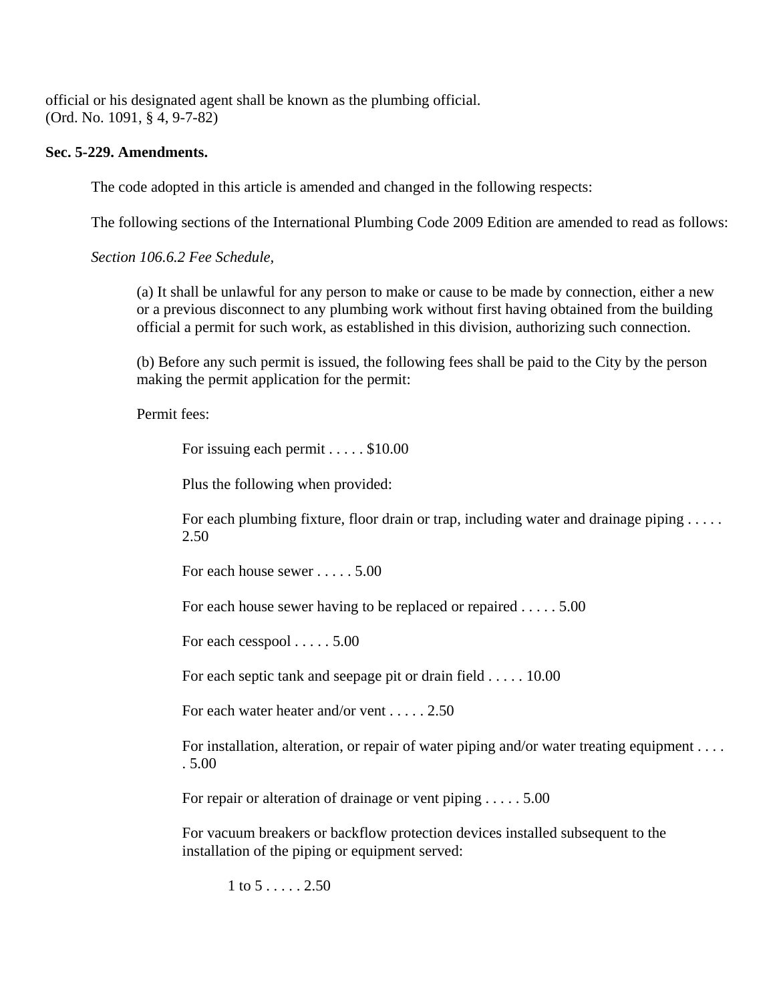official or his designated agent shall be known as the plumbing official. (Ord. No. 1091, § 4, 9-7-82)

## **Sec. 5-229. Amendments.**

The code adopted in this article is amended and changed in the following respects:

The following sections of the International Plumbing Code 2009 Edition are amended to read as follows:

*Section 106.6.2 Fee Schedule,*

(a) It shall be unlawful for any person to make or cause to be made by connection, either a new or a previous disconnect to any plumbing work without first having obtained from the building official a permit for such work, as established in this division, authorizing such connection.

(b) Before any such permit is issued, the following fees shall be paid to the City by the person making the permit application for the permit:

Permit fees:

For issuing each permit . . . . . \$10.00

Plus the following when provided:

For each plumbing fixture, floor drain or trap, including water and drainage piping . . . . . 2.50

For each house sewer . . . . . 5.00

For each house sewer having to be replaced or repaired . . . . . 5.00

For each cesspool . . . . . 5.00

For each septic tank and seepage pit or drain field . . . . . 10.00

For each water heater and/or vent . . . . . 2.50

For installation, alteration, or repair of water piping and/or water treating equipment . . . . . 5.00

For repair or alteration of drainage or vent piping . . . . . 5.00

For vacuum breakers or backflow protection devices installed subsequent to the installation of the piping or equipment served:

 $1 \text{ to } 5 \ldots 2.50$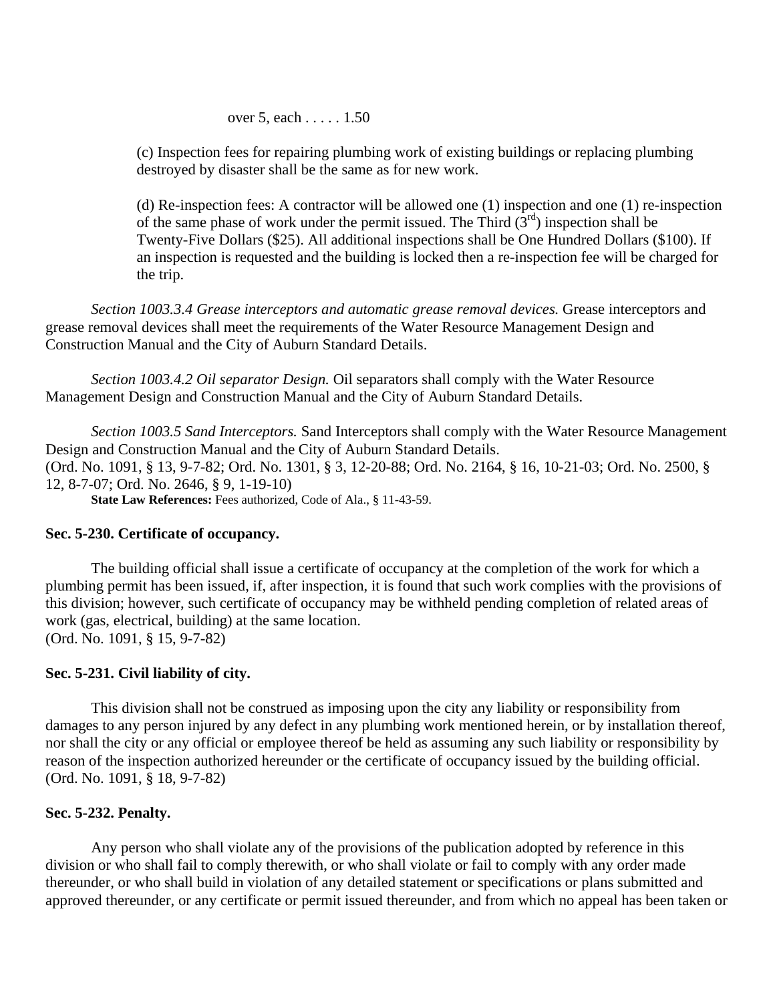over 5, each . . . . . 1.50

(c) Inspection fees for repairing plumbing work of existing buildings or replacing plumbing destroyed by disaster shall be the same as for new work.

(d) Re-inspection fees: A contractor will be allowed one (1) inspection and one (1) re-inspection of the same phase of work under the permit issued. The Third  $(3<sup>rd</sup>)$  inspection shall be Twenty-Five Dollars (\$25). All additional inspections shall be One Hundred Dollars (\$100). If an inspection is requested and the building is locked then a re-inspection fee will be charged for the trip.

*Section 1003.3.4 Grease interceptors and automatic grease removal devices.* Grease interceptors and grease removal devices shall meet the requirements of the Water Resource Management Design and Construction Manual and the City of Auburn Standard Details.

*Section 1003.4.2 Oil separator Design.* Oil separators shall comply with the Water Resource Management Design and Construction Manual and the City of Auburn Standard Details.

*Section 1003.5 Sand Interceptors.* Sand Interceptors shall comply with the Water Resource Management Design and Construction Manual and the City of Auburn Standard Details. (Ord. No. 1091, § 13, 9-7-82; Ord. No. 1301, § 3, 12-20-88; Ord. No. 2164, § 16, 10-21-03; Ord. No. 2500, § 12, 8-7-07; Ord. No. 2646, § 9, 1-19-10) **State Law References:** Fees authorized, Code of Ala., § 11-43-59.

### **Sec. 5-230. Certificate of occupancy.**

The building official shall issue a certificate of occupancy at the completion of the work for which a plumbing permit has been issued, if, after inspection, it is found that such work complies with the provisions of this division; however, such certificate of occupancy may be withheld pending completion of related areas of work (gas, electrical, building) at the same location. (Ord. No. 1091, § 15, 9-7-82)

## **Sec. 5-231. Civil liability of city.**

This division shall not be construed as imposing upon the city any liability or responsibility from damages to any person injured by any defect in any plumbing work mentioned herein, or by installation thereof, nor shall the city or any official or employee thereof be held as assuming any such liability or responsibility by reason of the inspection authorized hereunder or the certificate of occupancy issued by the building official. (Ord. No. 1091, § 18, 9-7-82)

## **Sec. 5-232. Penalty.**

Any person who shall violate any of the provisions of the publication adopted by reference in this division or who shall fail to comply therewith, or who shall violate or fail to comply with any order made thereunder, or who shall build in violation of any detailed statement or specifications or plans submitted and approved thereunder, or any certificate or permit issued thereunder, and from which no appeal has been taken or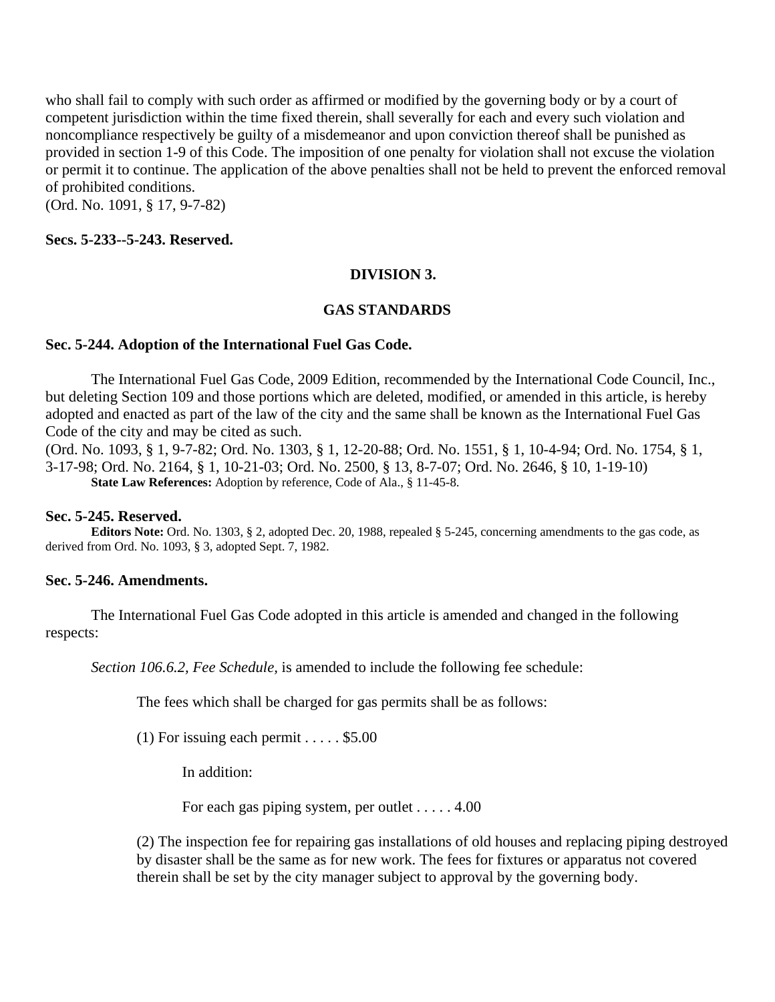who shall fail to comply with such order as affirmed or modified by the governing body or by a court of competent jurisdiction within the time fixed therein, shall severally for each and every such violation and noncompliance respectively be guilty of a misdemeanor and upon conviction thereof shall be punished as provided in section 1-9 of this Code. The imposition of one penalty for violation shall not excuse the violation or permit it to continue. The application of the above penalties shall not be held to prevent the enforced removal of prohibited conditions.

(Ord. No. 1091, § 17, 9-7-82)

### **Secs. 5-233--5-243. Reserved.**

## **DIVISION 3.**

### **GAS STANDARDS**

### **Sec. 5-244. Adoption of the International Fuel Gas Code.**

The International Fuel Gas Code, 2009 Edition, recommended by the International Code Council, Inc., but deleting Section 109 and those portions which are deleted, modified, or amended in this article, is hereby adopted and enacted as part of the law of the city and the same shall be known as the International Fuel Gas Code of the city and may be cited as such.

(Ord. No. 1093, § 1, 9-7-82; Ord. No. 1303, § 1, 12-20-88; Ord. No. 1551, § 1, 10-4-94; Ord. No. 1754, § 1, 3-17-98; Ord. No. 2164, § 1, 10-21-03; Ord. No. 2500, § 13, 8-7-07; Ord. No. 2646, § 10, 1-19-10) **State Law References:** Adoption by reference, Code of Ala., § 11-45-8.

## **Sec. 5-245. Reserved.**

**Editors Note:** Ord. No. 1303, § 2, adopted Dec. 20, 1988, repealed § 5-245, concerning amendments to the gas code, as derived from Ord. No. 1093, § 3, adopted Sept. 7, 1982.

### **Sec. 5-246. Amendments.**

The International Fuel Gas Code adopted in this article is amended and changed in the following respects:

*Section 106.6.2, Fee Schedule,* is amended to include the following fee schedule:

The fees which shall be charged for gas permits shall be as follows:

(1) For issuing each permit  $\dots$  . \$5.00

In addition:

For each gas piping system, per outlet . . . . . 4.00

(2) The inspection fee for repairing gas installations of old houses and replacing piping destroyed by disaster shall be the same as for new work. The fees for fixtures or apparatus not covered therein shall be set by the city manager subject to approval by the governing body.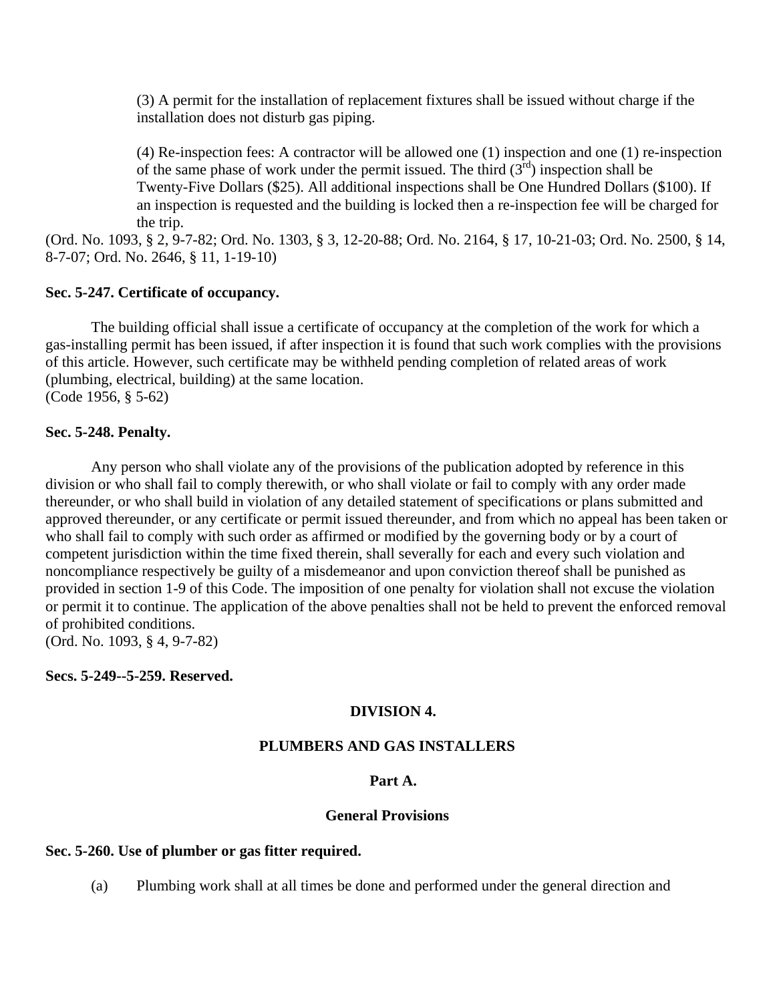(3) A permit for the installation of replacement fixtures shall be issued without charge if the installation does not disturb gas piping.

(4) Re-inspection fees: A contractor will be allowed one (1) inspection and one (1) re-inspection of the same phase of work under the permit issued. The third  $(3<sup>rd</sup>)$  inspection shall be Twenty-Five Dollars (\$25). All additional inspections shall be One Hundred Dollars (\$100). If an inspection is requested and the building is locked then a re-inspection fee will be charged for the trip.

(Ord. No. 1093, § 2, 9-7-82; Ord. No. 1303, § 3, 12-20-88; Ord. No. 2164, § 17, 10-21-03; Ord. No. 2500, § 14, 8-7-07; Ord. No. 2646, § 11, 1-19-10)

## **Sec. 5-247. Certificate of occupancy.**

The building official shall issue a certificate of occupancy at the completion of the work for which a gas-installing permit has been issued, if after inspection it is found that such work complies with the provisions of this article. However, such certificate may be withheld pending completion of related areas of work (plumbing, electrical, building) at the same location. (Code 1956, § 5-62)

### **Sec. 5-248. Penalty.**

Any person who shall violate any of the provisions of the publication adopted by reference in this division or who shall fail to comply therewith, or who shall violate or fail to comply with any order made thereunder, or who shall build in violation of any detailed statement of specifications or plans submitted and approved thereunder, or any certificate or permit issued thereunder, and from which no appeal has been taken or who shall fail to comply with such order as affirmed or modified by the governing body or by a court of competent jurisdiction within the time fixed therein, shall severally for each and every such violation and noncompliance respectively be guilty of a misdemeanor and upon conviction thereof shall be punished as provided in section 1-9 of this Code. The imposition of one penalty for violation shall not excuse the violation or permit it to continue. The application of the above penalties shall not be held to prevent the enforced removal of prohibited conditions.

(Ord. No. 1093, § 4, 9-7-82)

**Secs. 5-249--5-259. Reserved.**

### **DIVISION 4.**

### **PLUMBERS AND GAS INSTALLERS**

## **Part A.**

#### **General Provisions**

## **Sec. 5-260. Use of plumber or gas fitter required.**

(a) Plumbing work shall at all times be done and performed under the general direction and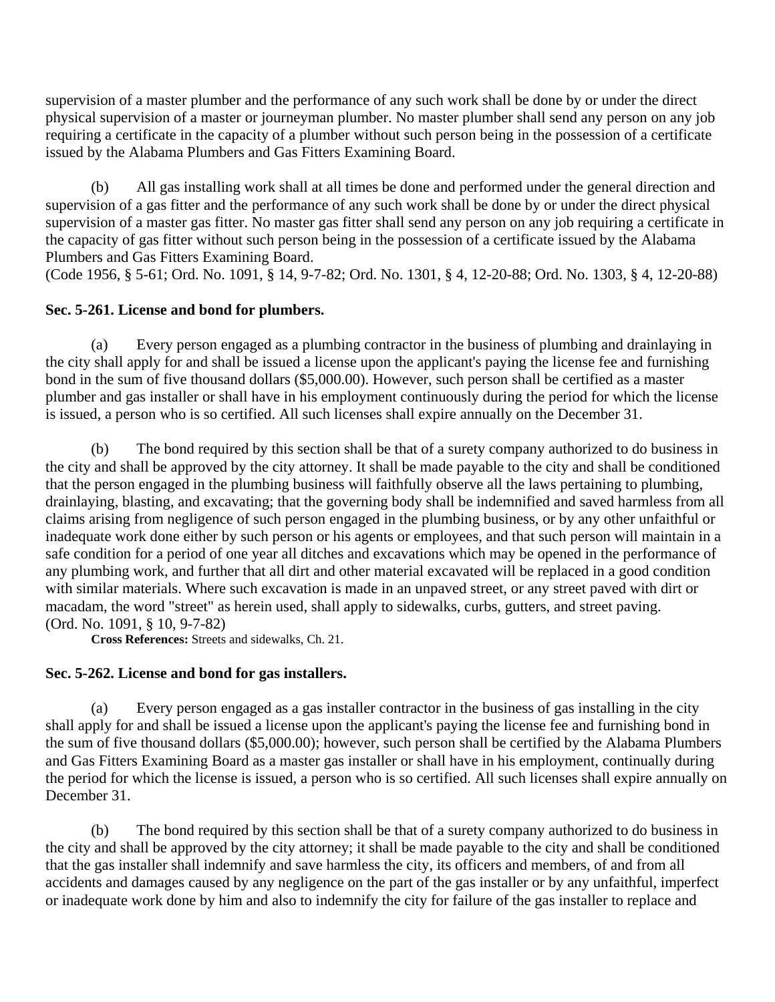supervision of a master plumber and the performance of any such work shall be done by or under the direct physical supervision of a master or journeyman plumber. No master plumber shall send any person on any job requiring a certificate in the capacity of a plumber without such person being in the possession of a certificate issued by the Alabama Plumbers and Gas Fitters Examining Board.

 (b) All gas installing work shall at all times be done and performed under the general direction and supervision of a gas fitter and the performance of any such work shall be done by or under the direct physical supervision of a master gas fitter. No master gas fitter shall send any person on any job requiring a certificate in the capacity of gas fitter without such person being in the possession of a certificate issued by the Alabama Plumbers and Gas Fitters Examining Board.

(Code 1956, § 5-61; Ord. No. 1091, § 14, 9-7-82; Ord. No. 1301, § 4, 12-20-88; Ord. No. 1303, § 4, 12-20-88)

# **Sec. 5-261. License and bond for plumbers.**

 (a) Every person engaged as a plumbing contractor in the business of plumbing and drainlaying in the city shall apply for and shall be issued a license upon the applicant's paying the license fee and furnishing bond in the sum of five thousand dollars (\$5,000.00). However, such person shall be certified as a master plumber and gas installer or shall have in his employment continuously during the period for which the license is issued, a person who is so certified. All such licenses shall expire annually on the December 31.

 (b) The bond required by this section shall be that of a surety company authorized to do business in the city and shall be approved by the city attorney. It shall be made payable to the city and shall be conditioned that the person engaged in the plumbing business will faithfully observe all the laws pertaining to plumbing, drainlaying, blasting, and excavating; that the governing body shall be indemnified and saved harmless from all claims arising from negligence of such person engaged in the plumbing business, or by any other unfaithful or inadequate work done either by such person or his agents or employees, and that such person will maintain in a safe condition for a period of one year all ditches and excavations which may be opened in the performance of any plumbing work, and further that all dirt and other material excavated will be replaced in a good condition with similar materials. Where such excavation is made in an unpaved street, or any street paved with dirt or macadam, the word "street" as herein used, shall apply to sidewalks, curbs, gutters, and street paving. (Ord. No. 1091, § 10, 9-7-82)

**Cross References:** Streets and sidewalks, Ch. 21.

# **Sec. 5-262. License and bond for gas installers.**

 (a) Every person engaged as a gas installer contractor in the business of gas installing in the city shall apply for and shall be issued a license upon the applicant's paying the license fee and furnishing bond in the sum of five thousand dollars (\$5,000.00); however, such person shall be certified by the Alabama Plumbers and Gas Fitters Examining Board as a master gas installer or shall have in his employment, continually during the period for which the license is issued, a person who is so certified. All such licenses shall expire annually on December 31.

 (b) The bond required by this section shall be that of a surety company authorized to do business in the city and shall be approved by the city attorney; it shall be made payable to the city and shall be conditioned that the gas installer shall indemnify and save harmless the city, its officers and members, of and from all accidents and damages caused by any negligence on the part of the gas installer or by any unfaithful, imperfect or inadequate work done by him and also to indemnify the city for failure of the gas installer to replace and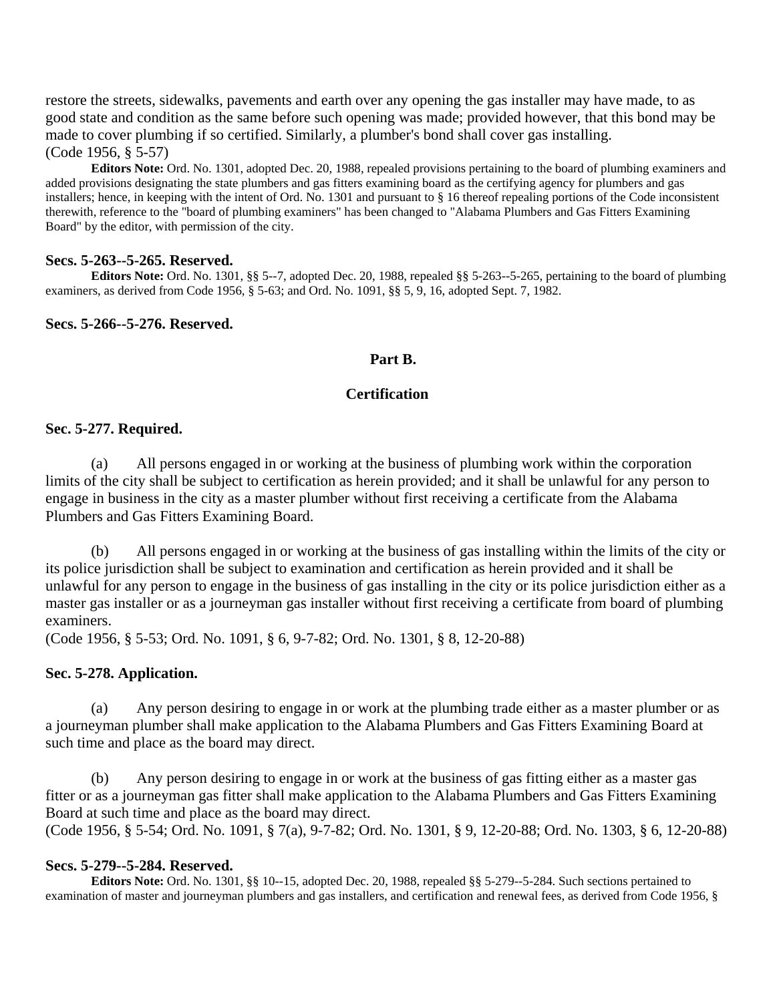restore the streets, sidewalks, pavements and earth over any opening the gas installer may have made, to as good state and condition as the same before such opening was made; provided however, that this bond may be made to cover plumbing if so certified. Similarly, a plumber's bond shall cover gas installing. (Code 1956, § 5-57)

**Editors Note:** Ord. No. 1301, adopted Dec. 20, 1988, repealed provisions pertaining to the board of plumbing examiners and added provisions designating the state plumbers and gas fitters examining board as the certifying agency for plumbers and gas installers; hence, in keeping with the intent of Ord. No. 1301 and pursuant to § 16 thereof repealing portions of the Code inconsistent therewith, reference to the "board of plumbing examiners" has been changed to "Alabama Plumbers and Gas Fitters Examining Board" by the editor, with permission of the city.

### **Secs. 5-263--5-265. Reserved.**

**Editors Note:** Ord. No. 1301, §§ 5--7, adopted Dec. 20, 1988, repealed §§ 5-263--5-265, pertaining to the board of plumbing examiners, as derived from Code 1956, § 5-63; and Ord. No. 1091, §§ 5, 9, 16, adopted Sept. 7, 1982.

### **Secs. 5-266--5-276. Reserved.**

#### **Part B.**

### **Certification**

### **Sec. 5-277. Required.**

 (a) All persons engaged in or working at the business of plumbing work within the corporation limits of the city shall be subject to certification as herein provided; and it shall be unlawful for any person to engage in business in the city as a master plumber without first receiving a certificate from the Alabama Plumbers and Gas Fitters Examining Board.

 (b) All persons engaged in or working at the business of gas installing within the limits of the city or its police jurisdiction shall be subject to examination and certification as herein provided and it shall be unlawful for any person to engage in the business of gas installing in the city or its police jurisdiction either as a master gas installer or as a journeyman gas installer without first receiving a certificate from board of plumbing examiners.

(Code 1956, § 5-53; Ord. No. 1091, § 6, 9-7-82; Ord. No. 1301, § 8, 12-20-88)

#### **Sec. 5-278. Application.**

 (a) Any person desiring to engage in or work at the plumbing trade either as a master plumber or as a journeyman plumber shall make application to the Alabama Plumbers and Gas Fitters Examining Board at such time and place as the board may direct.

 (b) Any person desiring to engage in or work at the business of gas fitting either as a master gas fitter or as a journeyman gas fitter shall make application to the Alabama Plumbers and Gas Fitters Examining Board at such time and place as the board may direct. (Code 1956, § 5-54; Ord. No. 1091, § 7(a), 9-7-82; Ord. No. 1301, § 9, 12-20-88; Ord. No. 1303, § 6, 12-20-88)

#### **Secs. 5-279--5-284. Reserved.**

**Editors Note:** Ord. No. 1301, §§ 10--15, adopted Dec. 20, 1988, repealed §§ 5-279--5-284. Such sections pertained to examination of master and journeyman plumbers and gas installers, and certification and renewal fees, as derived from Code 1956, §